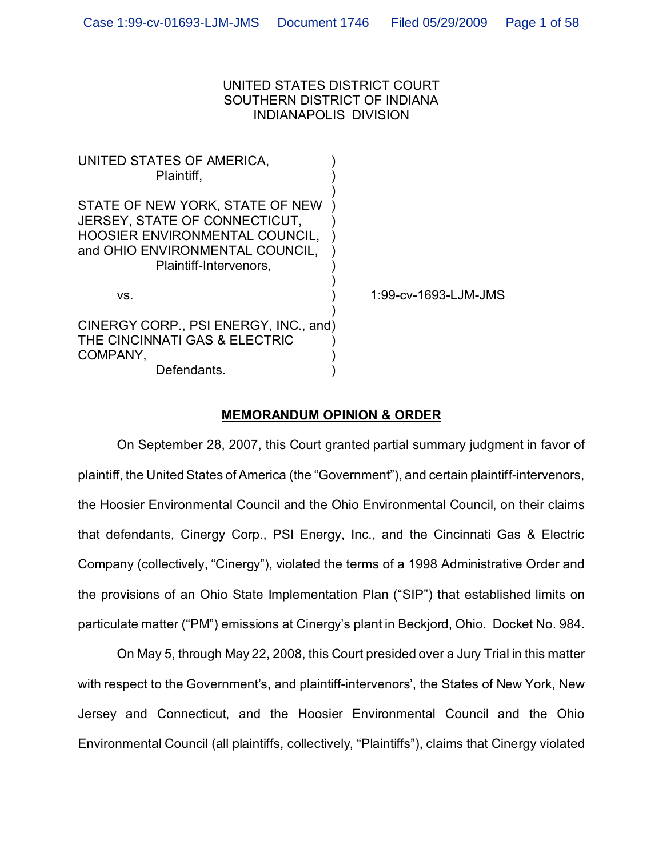# UNITED STATES DISTRICT COURT SOUTHERN DISTRICT OF INDIANA INDIANAPOLIS DIVISION

| UNITED STATES OF AMERICA,<br>Plaintiff.                                                                                                                         |                      |
|-----------------------------------------------------------------------------------------------------------------------------------------------------------------|----------------------|
| STATE OF NEW YORK, STATE OF NEW<br>JERSEY, STATE OF CONNECTICUT,<br>HOOSIER ENVIRONMENTAL COUNCIL,<br>and OHIO ENVIRONMENTAL COUNCIL,<br>Plaintiff-Intervenors, |                      |
| VS.                                                                                                                                                             | 1:99-cv-1693-LJM-JMS |
| CINERGY CORP., PSI ENERGY, INC., and)<br>THE CINCINNATI GAS & ELECTRIC<br>COMPANY,<br>Defendants.                                                               |                      |
|                                                                                                                                                                 |                      |

# **MEMORANDUM OPINION & ORDER**

On September 28, 2007, this Court granted partial summary judgment in favor of plaintiff, the United States of America (the "Government"), and certain plaintiff-intervenors, the Hoosier Environmental Council and the Ohio Environmental Council, on their claims that defendants, Cinergy Corp., PSI Energy, Inc., and the Cincinnati Gas & Electric Company (collectively, "Cinergy"), violated the terms of a 1998 Administrative Order and the provisions of an Ohio State Implementation Plan ("SIP") that established limits on particulate matter ("PM") emissions at Cinergy's plant in Beckjord, Ohio. Docket No. 984.

On May 5, through May 22, 2008, this Court presided over a Jury Trial in this matter with respect to the Government's, and plaintiff-intervenors', the States of New York, New Jersey and Connecticut, and the Hoosier Environmental Council and the Ohio Environmental Council (all plaintiffs, collectively, "Plaintiffs"), claims that Cinergy violated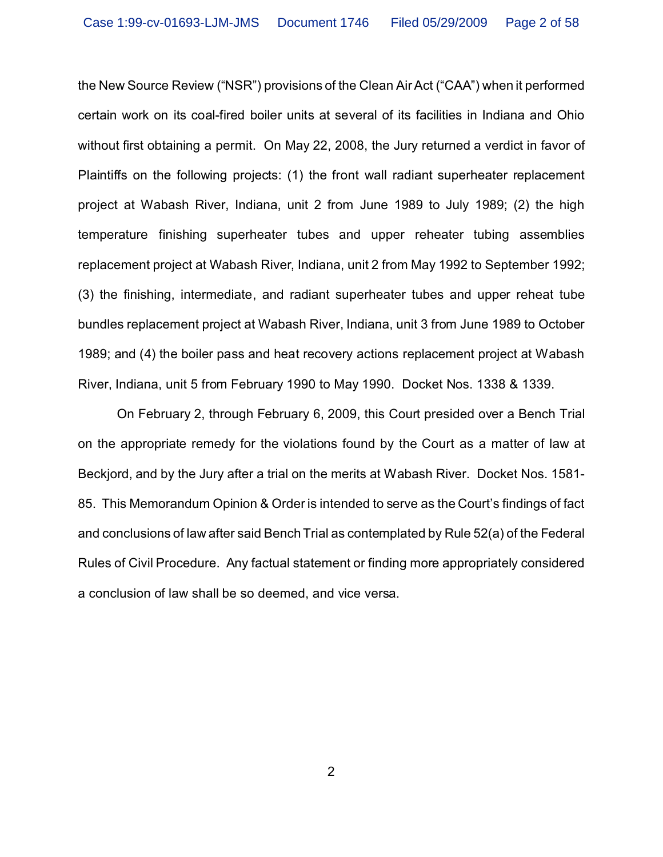the New Source Review ("NSR") provisions of the Clean Air Act ("CAA") when it performed certain work on its coal-fired boiler units at several of its facilities in Indiana and Ohio without first obtaining a permit. On May 22, 2008, the Jury returned a verdict in favor of Plaintiffs on the following projects: (1) the front wall radiant superheater replacement project at Wabash River, Indiana, unit 2 from June 1989 to July 1989; (2) the high temperature finishing superheater tubes and upper reheater tubing assemblies replacement project at Wabash River, Indiana, unit 2 from May 1992 to September 1992; (3) the finishing, intermediate, and radiant superheater tubes and upper reheat tube bundles replacement project at Wabash River, Indiana, unit 3 from June 1989 to October 1989; and (4) the boiler pass and heat recovery actions replacement project at Wabash River, Indiana, unit 5 from February 1990 to May 1990. Docket Nos. 1338 & 1339.

On February 2, through February 6, 2009, this Court presided over a Bench Trial on the appropriate remedy for the violations found by the Court as a matter of law at Beckjord, and by the Jury after a trial on the merits at Wabash River. Docket Nos. 1581- 85. This Memorandum Opinion & Order is intended to serve as the Court's findings of fact and conclusions of law after said Bench Trial as contemplated by Rule 52(a) of the Federal Rules of Civil Procedure. Any factual statement or finding more appropriately considered a conclusion of law shall be so deemed, and vice versa.

2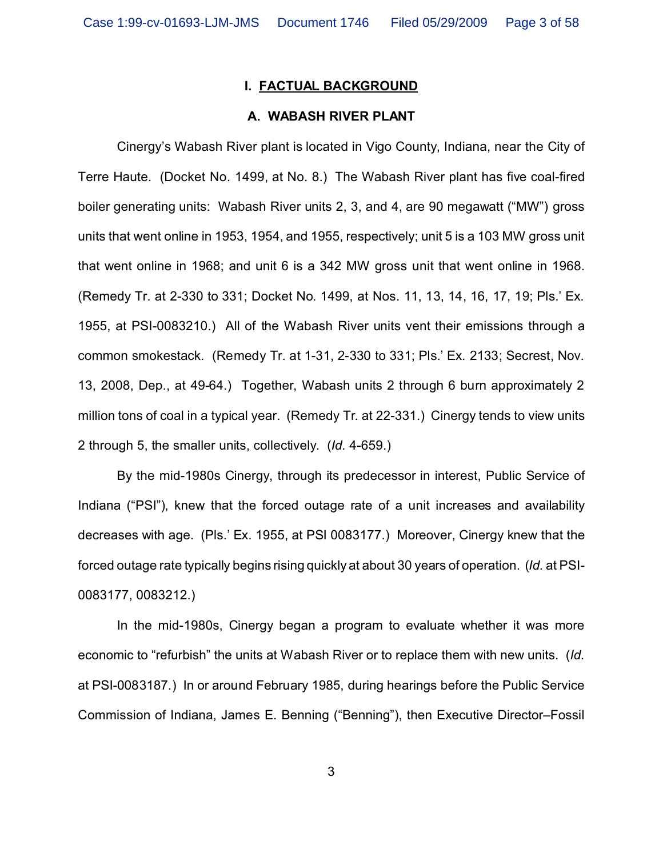## **I. FACTUAL BACKGROUND**

# **A. WABASH RIVER PLANT**

Cinergy's Wabash River plant is located in Vigo County, Indiana, near the City of Terre Haute. (Docket No. 1499, at No. 8.) The Wabash River plant has five coal-fired boiler generating units: Wabash River units 2, 3, and 4, are 90 megawatt ("MW") gross units that went online in 1953, 1954, and 1955, respectively; unit 5 is a 103 MW gross unit that went online in 1968; and unit 6 is a 342 MW gross unit that went online in 1968. (Remedy Tr. at 2-330 to 331; Docket No. 1499, at Nos. 11, 13, 14, 16, 17, 19; Pls.' Ex. 1955, at PSI-0083210.) All of the Wabash River units vent their emissions through a common smokestack. (Remedy Tr. at 1-31, 2-330 to 331; Pls.' Ex. 2133; Secrest, Nov. 13, 2008, Dep., at 49-64.) Together, Wabash units 2 through 6 burn approximately 2 million tons of coal in a typical year. (Remedy Tr. at 22-331.) Cinergy tends to view units 2 through 5, the smaller units, collectively. (*Id.* 4-659.)

By the mid-1980s Cinergy, through its predecessor in interest, Public Service of Indiana ("PSI"), knew that the forced outage rate of a unit increases and availability decreases with age. (Pls.' Ex. 1955, at PSI 0083177.) Moreover, Cinergy knew that the forced outage rate typically begins rising quickly at about 30 years of operation. (*Id.* at PSI-0083177, 0083212.)

In the mid-1980s, Cinergy began a program to evaluate whether it was more economic to "refurbish" the units at Wabash River or to replace them with new units. (*Id.* at PSI-0083187.) In or around February 1985, during hearings before the Public Service Commission of Indiana, James E. Benning ("Benning"), then Executive Director–Fossil

3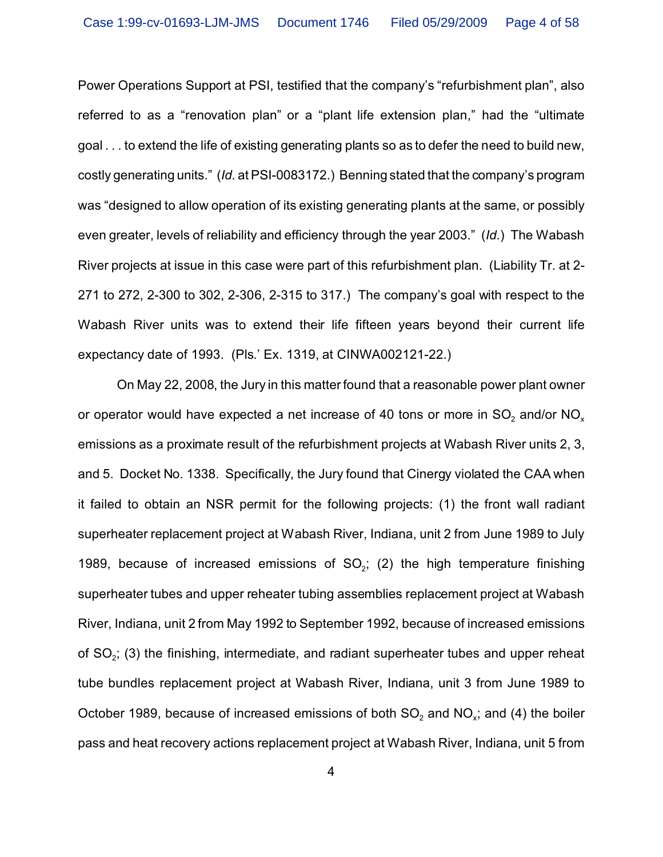Power Operations Support at PSI, testified that the company's "refurbishment plan", also referred to as a "renovation plan" or a "plant life extension plan," had the "ultimate goal . . . to extend the life of existing generating plants so as to defer the need to build new, costly generating units." (*Id.* at PSI-0083172.) Benning stated that the company's program was "designed to allow operation of its existing generating plants at the same, or possibly even greater, levels of reliability and efficiency through the year 2003." (*Id.*) The Wabash River projects at issue in this case were part of this refurbishment plan. (Liability Tr. at 2- 271 to 272, 2-300 to 302, 2-306, 2-315 to 317.) The company's goal with respect to the Wabash River units was to extend their life fifteen years beyond their current life expectancy date of 1993. (Pls.' Ex. 1319, at CINWA002121-22.)

On May 22, 2008, the Jury in this matter found that a reasonable power plant owner or operator would have expected a net increase of 40 tons or more in SO $_2$  and/or NO $_\mathrm{\star}$ emissions as a proximate result of the refurbishment projects at Wabash River units 2, 3, and 5. Docket No. 1338. Specifically, the Jury found that Cinergy violated the CAA when it failed to obtain an NSR permit for the following projects: (1) the front wall radiant superheater replacement project at Wabash River, Indiana, unit 2 from June 1989 to July 1989, because of increased emissions of  $SO_2$ ; (2) the high temperature finishing superheater tubes and upper reheater tubing assemblies replacement project at Wabash River, Indiana, unit 2 from May 1992 to September 1992, because of increased emissions of SO<sub>2</sub>; (3) the finishing, intermediate, and radiant superheater tubes and upper reheat tube bundles replacement project at Wabash River, Indiana, unit 3 from June 1989 to October 1989, because of increased emissions of both SO $_2$  and NO $_\mathrm{\star}$ ; and (4) the boiler pass and heat recovery actions replacement project at Wabash River, Indiana, unit 5 from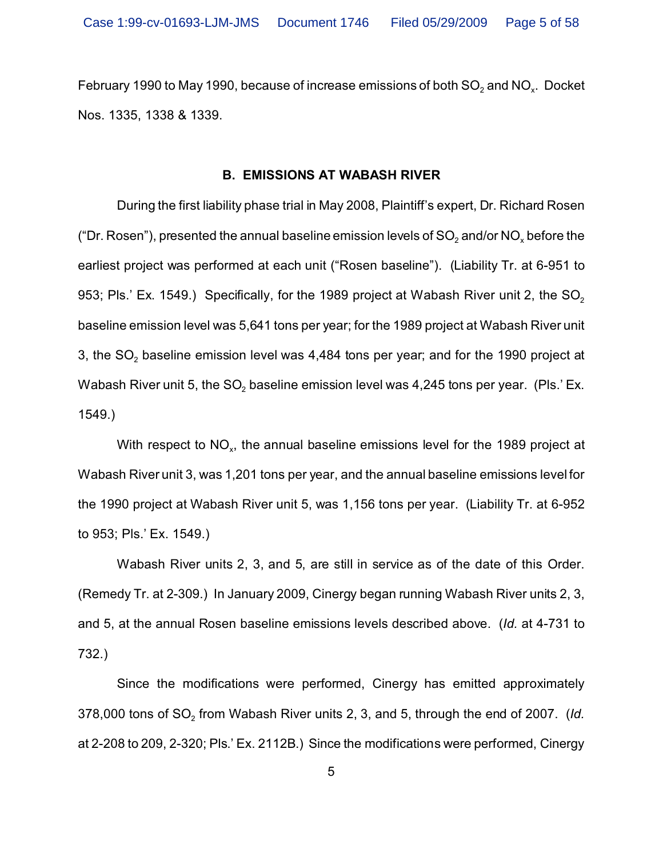February 1990 to May 1990, because of increase emissions of both SO $_2$  and NO $_\mathrm{\tiny X}$ . Docket Nos. 1335, 1338 & 1339.

### **B. EMISSIONS AT WABASH RIVER**

During the first liability phase trial in May 2008, Plaintiff's expert, Dr. Richard Rosen ("Dr. Rosen"), presented the annual baseline emission levels of SO $_2$  and/or NO $_{\mathrm{\mathsf{x}}}$  before the earliest project was performed at each unit ("Rosen baseline"). (Liability Tr. at 6-951 to 953; Pls.' Ex. 1549.) Specifically, for the 1989 project at Wabash River unit 2, the  $SO<sub>2</sub>$ baseline emission level was 5,641 tons per year; for the 1989 project at Wabash River unit 3, the SO $_{\rm 2}$  baseline emission level was 4,484 tons per year; and for the 1990 project at Wabash River unit 5, the SO $_{\rm 2}$  baseline emission level was 4,245 tons per year. (Pls.' Ex. 1549.)

With respect to NO $_{\sf x}$ , the annual baseline emissions level for the 1989 project at Wabash River unit 3, was 1,201 tons per year, and the annual baseline emissions level for the 1990 project at Wabash River unit 5, was 1,156 tons per year. (Liability Tr. at 6-952 to 953; Pls.' Ex. 1549.)

Wabash River units 2, 3, and 5, are still in service as of the date of this Order. (Remedy Tr. at 2-309.) In January 2009, Cinergy began running Wabash River units 2, 3, and 5, at the annual Rosen baseline emissions levels described above. (*Id.* at 4-731 to 732.)

Since the modifications were performed, Cinergy has emitted approximately 378,000 tons of SO<sub>2</sub> from Wabash River units 2, 3, and 5, through the end of 2007. (*Id.* at 2-208 to 209, 2-320; Pls.' Ex. 2112B.) Since the modifications were performed, Cinergy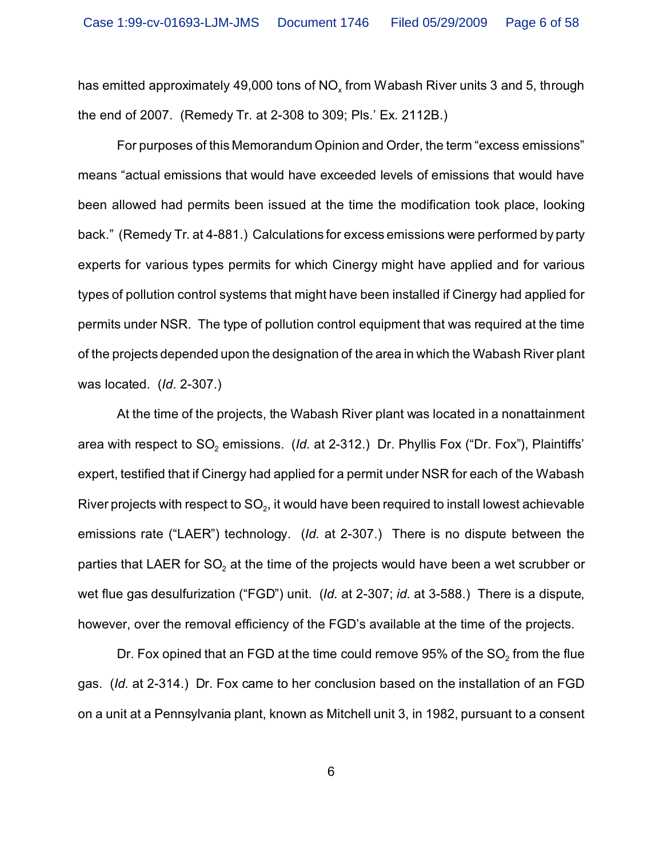has emitted approximately 49,000 tons of NO $_{\mathrm{\mathsf{x}}}$  from Wabash River units 3 and 5, through the end of 2007. (Remedy Tr. at 2-308 to 309; Pls.' Ex. 2112B.)

For purposes of this Memorandum Opinion and Order, the term "excess emissions" means "actual emissions that would have exceeded levels of emissions that would have been allowed had permits been issued at the time the modification took place, looking back." (Remedy Tr. at 4-881.) Calculations for excess emissions were performed by party experts for various types permits for which Cinergy might have applied and for various types of pollution control systems that might have been installed if Cinergy had applied for permits under NSR. The type of pollution control equipment that was required at the time of the projects depended upon the designation of the area in which the Wabash River plant was located. (*Id*. 2-307.)

At the time of the projects, the Wabash River plant was located in a nonattainment area with respect to SO<sub>2</sub> emissions. *(Id.* at 2-312.) Dr. Phyllis Fox ("Dr. Fox"), Plaintiffs' expert, testified that if Cinergy had applied for a permit under NSR for each of the Wabash River projects with respect to SO $_{\textrm{\tiny{2}}}$ , it would have been required to install lowest achievable emissions rate ("LAER") technology. (*Id.* at 2-307.) There is no dispute between the parties that LAER for SO $_{\tiny 2}$  at the time of the projects would have been a wet scrubber or wet flue gas desulfurization ("FGD") unit. (*Id.* at 2-307; *id.* at 3-588.) There is a dispute, however, over the removal efficiency of the FGD's available at the time of the projects.

Dr. Fox opined that an FGD at the time could remove 95% of the SO $_{\rm 2}$  from the flue gas. (*Id.* at 2-314.) Dr. Fox came to her conclusion based on the installation of an FGD on a unit at a Pennsylvania plant, known as Mitchell unit 3, in 1982, pursuant to a consent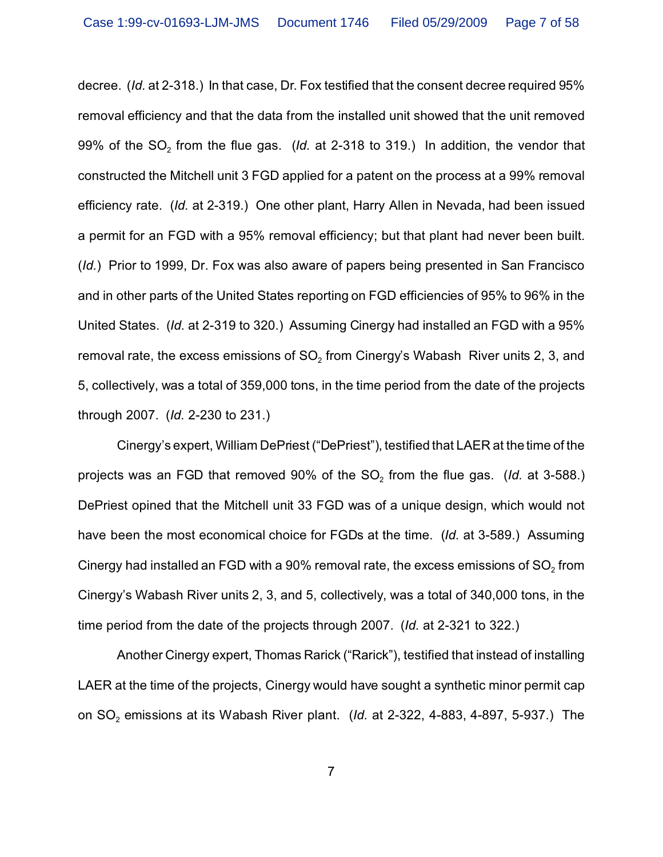decree. (*Id.* at 2-318.) In that case, Dr. Fox testified that the consent decree required 95% removal efficiency and that the data from the installed unit showed that the unit removed 99% of the SO<sub>2</sub> from the flue gas.  $(\mathit{Id.}$  at 2-318 to 319.) In addition, the vendor that constructed the Mitchell unit 3 FGD applied for a patent on the process at a 99% removal efficiency rate. (*Id.* at 2-319.) One other plant, Harry Allen in Nevada, had been issued a permit for an FGD with a 95% removal efficiency; but that plant had never been built. (*Id.*) Prior to 1999, Dr. Fox was also aware of papers being presented in San Francisco and in other parts of the United States reporting on FGD efficiencies of 95% to 96% in the United States. (*Id.* at 2-319 to 320.) Assuming Cinergy had installed an FGD with a 95% removal rate, the excess emissions of SO $_{\text{2}}$  from Cinergy's Wabash  $\,$  River units 2, 3, and 5, collectively, was a total of 359,000 tons, in the time period from the date of the projects through 2007. (*Id.* 2-230 to 231.)

Cinergy's expert, William DePriest ("DePriest"), testified that LAER at the time of the projects was an FGD that removed 90% of the SO<sub>2</sub> from the flue gas.  $($ ld. at 3-588.) DePriest opined that the Mitchell unit 33 FGD was of a unique design, which would not have been the most economical choice for FGDs at the time. (*Id.* at 3-589.) Assuming Cinergy had installed an FGD with a 90% removal rate, the excess emissions of SO $_{\textrm{\tiny{2}}}$  from Cinergy's Wabash River units 2, 3, and 5, collectively, was a total of 340,000 tons, in the time period from the date of the projects through 2007. (*Id.* at 2-321 to 322.)

Another Cinergy expert, Thomas Rarick ("Rarick"), testified that instead of installing LAER at the time of the projects, Cinergy would have sought a synthetic minor permit cap on SO<sub>2</sub> emissions at its Wabash River plant. *(Id.* at 2-322, 4-883, 4-897, 5-937.)The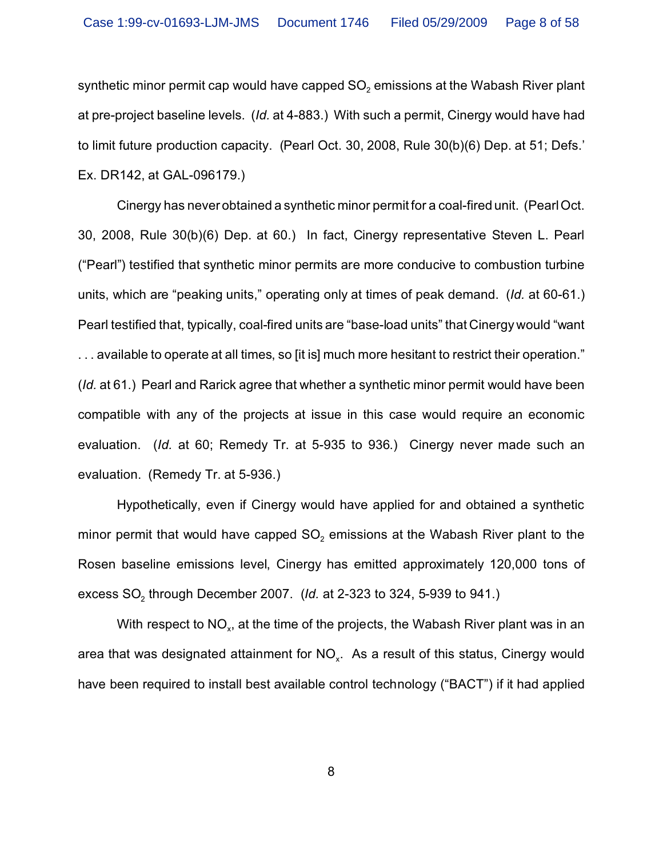synthetic minor permit cap would have capped SO $_2$  emissions at the Wabash River plant at pre-project baseline levels. (*Id.* at 4-883.) With such a permit, Cinergy would have had to limit future production capacity. (Pearl Oct. 30, 2008, Rule 30(b)(6) Dep. at 51; Defs.' Ex. DR142, at GAL-096179.)

Cinergy has never obtained a synthetic minor permit for a coal-fired unit. (Pearl Oct. 30, 2008, Rule 30(b)(6) Dep. at 60.) In fact, Cinergy representative Steven L. Pearl ("Pearl") testified that synthetic minor permits are more conducive to combustion turbine units, which are "peaking units," operating only at times of peak demand. (*Id.* at 60-61.) Pearl testified that, typically, coal-fired units are "base-load units" that Cinergy would "want . . . available to operate at all times, so [it is] much more hesitant to restrict their operation." (*Id.* at 61.) Pearl and Rarick agree that whether a synthetic minor permit would have been compatible with any of the projects at issue in this case would require an economic evaluation. (*Id.* at 60; Remedy Tr. at 5-935 to 936.) Cinergy never made such an evaluation. (Remedy Tr. at 5-936.)

Hypothetically, even if Cinergy would have applied for and obtained a synthetic minor permit that would have capped SO $_{\text{2}}$  emissions at the Wabash River plant to the Rosen baseline emissions level, Cinergy has emitted approximately 120,000 tons of excess SO $_{\tiny 2}$  through December 2007.  $\,$  (*ld.* at 2-323 to 324, 5-939 to 941.)

With respect to NO $_{\sf x}$ , at the time of the projects, the Wabash River plant was in an area that was designated attainment for NO $_\mathrm{x}$ . As a result of this status, Cinergy would have been required to install best available control technology ("BACT") if it had applied

8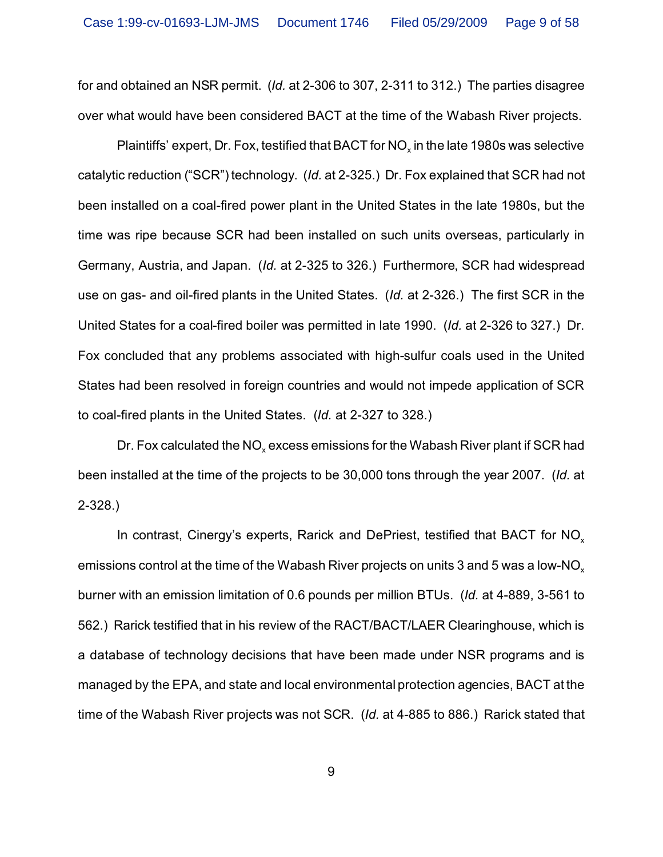for and obtained an NSR permit. (*Id.* at 2-306 to 307, 2-311 to 312.) The parties disagree over what would have been considered BACT at the time of the Wabash River projects.

Plaintiffs' expert, Dr. Fox, testified that BACT for NO<sub>x</sub> in the late 1980s was selective catalytic reduction ("SCR") technology. (*Id.* at 2-325.) Dr. Fox explained that SCR had not been installed on a coal-fired power plant in the United States in the late 1980s, but the time was ripe because SCR had been installed on such units overseas, particularly in Germany, Austria, and Japan. (*Id.* at 2-325 to 326.) Furthermore, SCR had widespread use on gas- and oil-fired plants in the United States. (*Id.* at 2-326.) The first SCR in the United States for a coal-fired boiler was permitted in late 1990. (*Id.* at 2-326 to 327.) Dr. Fox concluded that any problems associated with high-sulfur coals used in the United States had been resolved in foreign countries and would not impede application of SCR to coal-fired plants in the United States. (*Id.* at 2-327 to 328.)

Dr. Fox calculated the NO $_{\sf x}$  excess emissions for the Wabash River plant if SCR had been installed at the time of the projects to be 30,000 tons through the year 2007. (*Id.* at 2-328.)

In contrast, Cinergy's experts, Rarick and DePriest, testified that BACT for NO<sub>y</sub> emissions control at the time of the Wabash River projects on units 3 and 5 was a low-NO<sub>x</sub> burner with an emission limitation of 0.6 pounds per million BTUs. (*Id.* at 4-889, 3-561 to 562.) Rarick testified that in his review of the RACT/BACT/LAER Clearinghouse, which is a database of technology decisions that have been made under NSR programs and is managed by the EPA, and state and local environmental protection agencies, BACT at the time of the Wabash River projects was not SCR. (*Id.* at 4-885 to 886.) Rarick stated that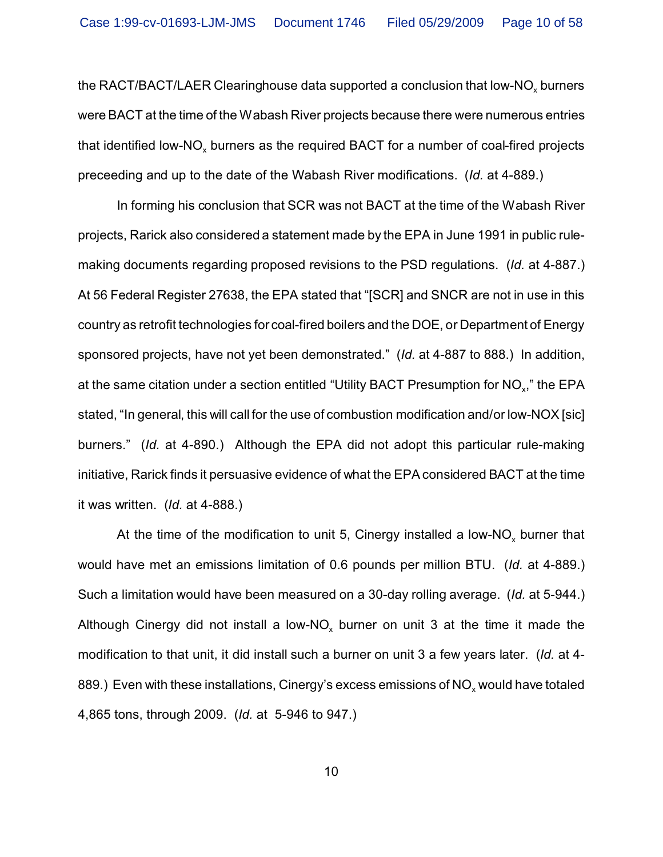the RACT/BACT/LAER Clearinghouse data supported a conclusion that low-NO<sub>x</sub> burners were BACT at the time of the Wabash River projects because there were numerous entries that identified low-NO<sub>x</sub> burners as the required BACT for a number of coal-fired projects preceeding and up to the date of the Wabash River modifications. (*Id.* at 4-889.)

In forming his conclusion that SCR was not BACT at the time of the Wabash River projects, Rarick also considered a statement made by the EPA in June 1991 in public rulemaking documents regarding proposed revisions to the PSD regulations. (*Id.* at 4-887.) At 56 Federal Register 27638, the EPA stated that "[SCR] and SNCR are not in use in this country as retrofit technologies for coal-fired boilers and the DOE, or Department of Energy sponsored projects, have not yet been demonstrated." (*Id.* at 4-887 to 888.) In addition, at the same citation under a section entitled "Utility BACT Presumption for NO $_{\mathrm{x}}$ ," the EPA stated, "In general, this will call for the use of combustion modification and/or low-NOX [sic] burners." (*Id.* at 4-890.) Although the EPA did not adopt this particular rule-making initiative, Rarick finds it persuasive evidence of what the EPA considered BACT at the time it was written. (*Id.* at 4-888.)

At the time of the modification to unit 5, Cinergy installed a low-NO<sub>x</sub> burner that would have met an emissions limitation of 0.6 pounds per million BTU. (*Id.* at 4-889.) Such a limitation would have been measured on a 30-day rolling average. (*Id.* at 5-944.) Although Cinergy did not install a low-NO<sub>x</sub> burner on unit 3 at the time it made the modification to that unit, it did install such a burner on unit 3 a few years later. (*Id.* at 4- 889.) Even with these installations, Cinergy's excess emissions of NO $_\mathrm{\mathsf{x}}$  would have totaled 4,865 tons, through 2009. (*Id.* at 5-946 to 947.)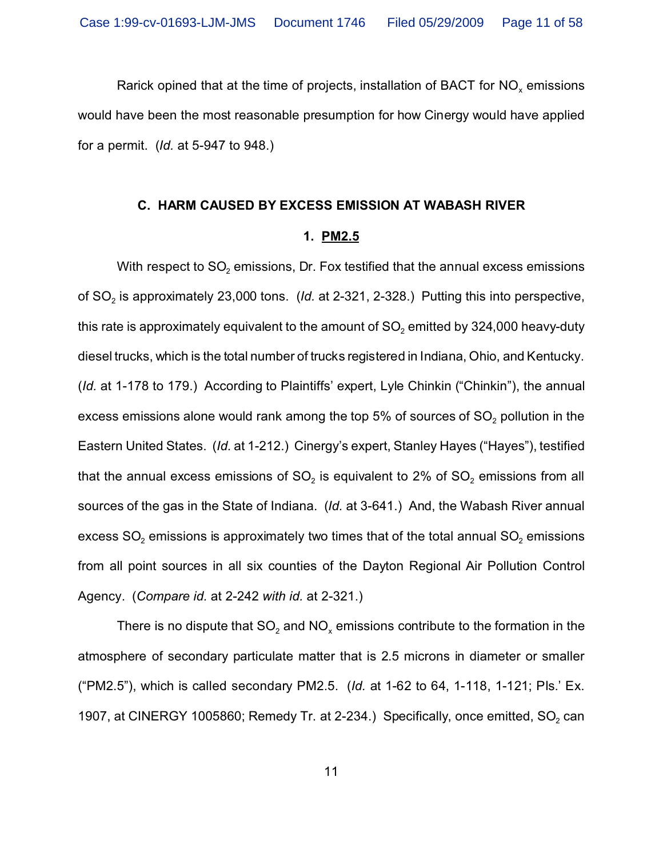Rarick opined that at the time of projects, installation of BACT for NO $_{\sf x}$  emissions would have been the most reasonable presumption for how Cinergy would have applied for a permit. (*Id.* at 5-947 to 948.)

#### **C. HARM CAUSED BY EXCESS EMISSION AT WABASH RIVER**

### **1. PM2.5**

With respect to SO $_{\textrm{\tiny{2}}}$  emissions, Dr. Fox testified that the annual excess emissions of SO<sub>2</sub> is approximately 23,000 tons. *(Id.* at 2-321, 2-328.)Putting this into perspective, this rate is approximately equivalent to the amount of SO $_{\rm 2}$  emitted by 324,000 heavy-duty diesel trucks, which is the total number of trucks registered in Indiana, Ohio, and Kentucky. (*Id.* at 1-178 to 179.) According to Plaintiffs' expert, Lyle Chinkin ("Chinkin"), the annual excess emissions alone would rank among the top 5% of sources of SO $_{\rm 2}$  pollution in the Eastern United States. (*Id.* at 1-212.) Cinergy's expert, Stanley Hayes ("Hayes"), testified that the annual excess emissions of SO $_{\rm 2}$  is equivalent to 2% of SO $_{\rm 2}$  emissions from all sources of the gas in the State of Indiana. (*Id.* at 3-641.) And, the Wabash River annual excess SO $_{\rm 2}$  emissions is approximately two times that of the total annual SO $_{\rm 2}$  emissions from all point sources in all six counties of the Dayton Regional Air Pollution Control Agency. (*Compare id.* at 2-242 *with id.* at 2-321.)

There is no dispute that SO $_2$  and NO $_\mathrm{x}$  emissions contribute to the formation in the atmosphere of secondary particulate matter that is 2.5 microns in diameter or smaller ("PM2.5"), which is called secondary PM2.5. (*Id.* at 1-62 to 64, 1-118, 1-121; Pls.' Ex. 1907, at CINERGY 1005860; Remedy Tr. at 2-234.) Specifically, once emitted,  $SO_2$  can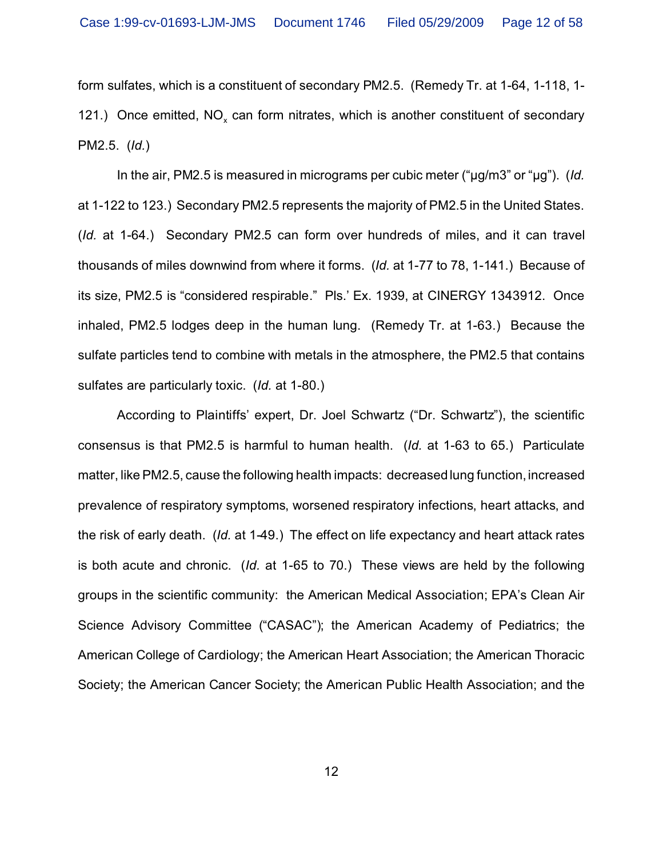form sulfates, which is a constituent of secondary PM2.5. (Remedy Tr. at 1-64, 1-118, 1- 121.) Once emitted, NO<sub>x</sub> can form nitrates, which is another constituent of secondary PM2.5. (*Id.*)

In the air, PM2.5 is measured in micrograms per cubic meter ("µg/m3" or "µg"). (*Id.* at 1-122 to 123.) Secondary PM2.5 represents the majority of PM2.5 in the United States. (*Id.* at 1-64.) Secondary PM2.5 can form over hundreds of miles, and it can travel thousands of miles downwind from where it forms. (*Id.* at 1-77 to 78, 1-141.) Because of its size, PM2.5 is "considered respirable." Pls.' Ex. 1939, at CINERGY 1343912. Once inhaled, PM2.5 lodges deep in the human lung. (Remedy Tr. at 1-63.) Because the sulfate particles tend to combine with metals in the atmosphere, the PM2.5 that contains sulfates are particularly toxic. (*Id.* at 1-80.)

According to Plaintiffs' expert, Dr. Joel Schwartz ("Dr. Schwartz"), the scientific consensus is that PM2.5 is harmful to human health. (*Id.* at 1-63 to 65.) Particulate matter, like PM2.5, cause the following health impacts: decreased lung function, increased prevalence of respiratory symptoms, worsened respiratory infections, heart attacks, and the risk of early death. (*Id.* at 1-49.) The effect on life expectancy and heart attack rates is both acute and chronic. (*Id.* at 1-65 to 70.) These views are held by the following groups in the scientific community: the American Medical Association; EPA's Clean Air Science Advisory Committee ("CASAC"); the American Academy of Pediatrics; the American College of Cardiology; the American Heart Association; the American Thoracic Society; the American Cancer Society; the American Public Health Association; and the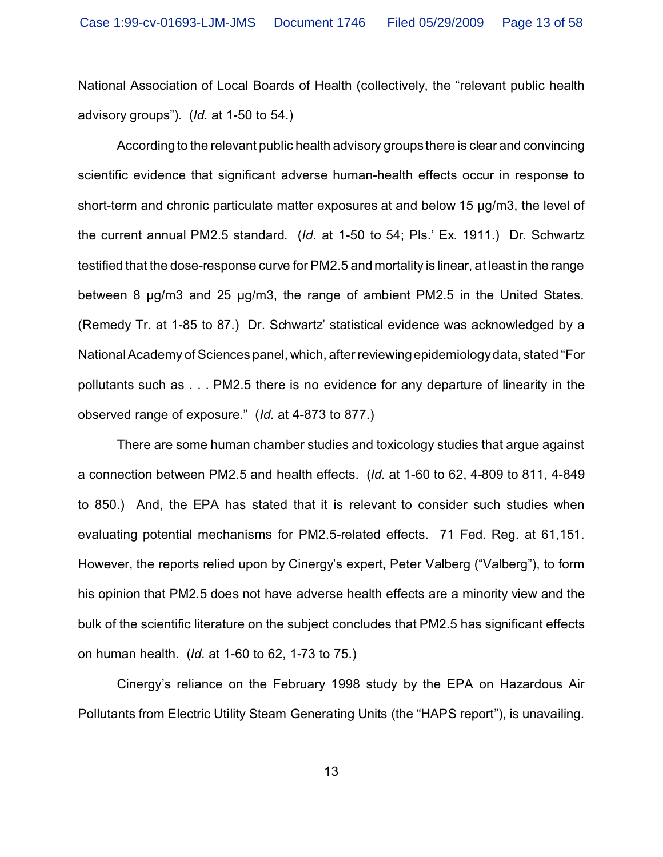National Association of Local Boards of Health (collectively, the "relevant public health advisory groups"). (*Id.* at 1-50 to 54.)

According to the relevant public health advisory groups there is clear and convincing scientific evidence that significant adverse human-health effects occur in response to short-term and chronic particulate matter exposures at and below 15 µg/m3, the level of the current annual PM2.5 standard. (*Id.* at 1-50 to 54; Pls.' Ex. 1911.) Dr. Schwartz testified that the dose-response curve for PM2.5 and mortality is linear, at least in the range between 8 µg/m3 and 25 µg/m3, the range of ambient PM2.5 in the United States. (Remedy Tr. at 1-85 to 87.) Dr. Schwartz' statistical evidence was acknowledged by a National Academy of Sciences panel, which, after reviewing epidemiology data, stated "For pollutants such as . . . PM2.5 there is no evidence for any departure of linearity in the observed range of exposure." (*Id.* at 4-873 to 877.)

There are some human chamber studies and toxicology studies that argue against a connection between PM2.5 and health effects. (*Id.* at 1-60 to 62, 4-809 to 811, 4-849 to 850.) And, the EPA has stated that it is relevant to consider such studies when evaluating potential mechanisms for PM2.5-related effects. 71 Fed. Reg. at 61,151. However, the reports relied upon by Cinergy's expert, Peter Valberg ("Valberg"), to form his opinion that PM2.5 does not have adverse health effects are a minority view and the bulk of the scientific literature on the subject concludes that PM2.5 has significant effects on human health. (*Id.* at 1-60 to 62, 1-73 to 75.)

Cinergy's reliance on the February 1998 study by the EPA on Hazardous Air Pollutants from Electric Utility Steam Generating Units (the "HAPS report"), is unavailing.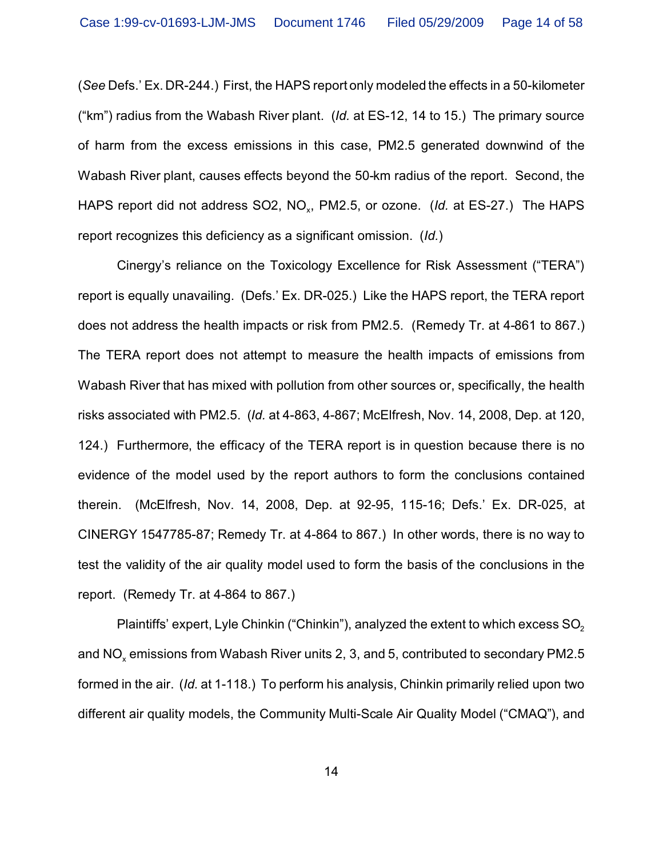(*See* Defs.' Ex. DR-244.) First, the HAPS report only modeled the effects in a 50-kilometer ("km") radius from the Wabash River plant. (*Id.* at ES-12, 14 to 15.) The primary source of harm from the excess emissions in this case, PM2.5 generated downwind of the Wabash River plant, causes effects beyond the 50-km radius of the report. Second, the HAPS report did not address SO2, NO<sub>x</sub>, PM2.5, or ozone. (*Id.* at ES-27.) The HAPS report recognizes this deficiency as a significant omission. (*Id.*)

Cinergy's reliance on the Toxicology Excellence for Risk Assessment ("TERA") report is equally unavailing. (Defs.' Ex. DR-025.) Like the HAPS report, the TERA report does not address the health impacts or risk from PM2.5. (Remedy Tr. at 4-861 to 867.) The TERA report does not attempt to measure the health impacts of emissions from Wabash River that has mixed with pollution from other sources or, specifically, the health risks associated with PM2.5. (*Id.* at 4-863, 4-867; McElfresh, Nov. 14, 2008, Dep. at 120, 124.) Furthermore, the efficacy of the TERA report is in question because there is no evidence of the model used by the report authors to form the conclusions contained therein. (McElfresh, Nov. 14, 2008, Dep. at 92-95, 115-16; Defs.' Ex. DR-025, at CINERGY 1547785-87; Remedy Tr. at 4-864 to 867.) In other words, there is no way to test the validity of the air quality model used to form the basis of the conclusions in the report. (Remedy Tr. at 4-864 to 867.)

Plaintiffs' expert, Lyle Chinkin ("Chinkin"), analyzed the extent to which excess  $SO<sub>2</sub>$ and NO $_{\sf x}$  emissions from Wabash River units 2, 3, and 5, contributed to secondary PM2.5 formed in the air. (*Id.* at 1-118.) To perform his analysis, Chinkin primarily relied upon two different air quality models, the Community Multi-Scale Air Quality Model ("CMAQ"), and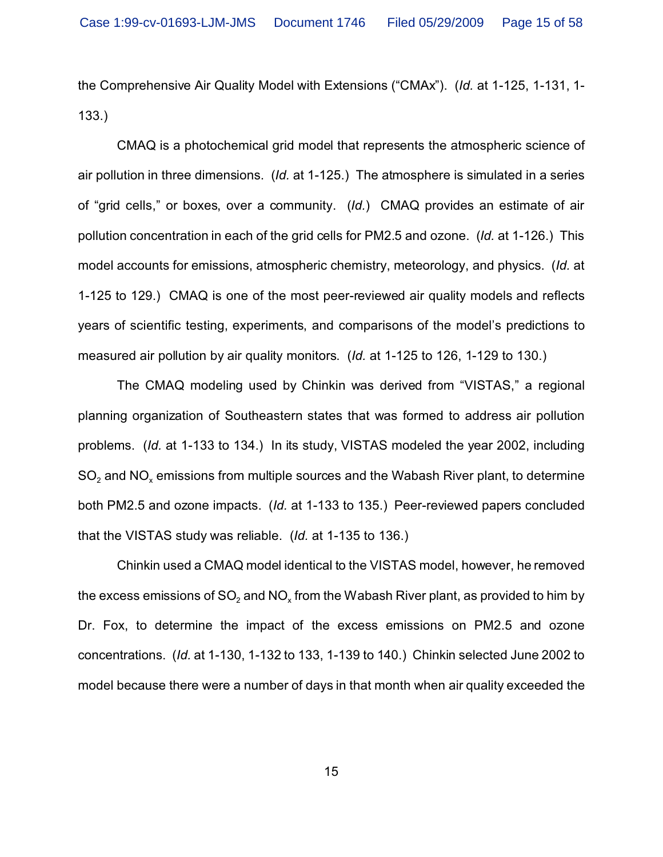the Comprehensive Air Quality Model with Extensions ("CMAx"). (*Id.* at 1-125, 1-131, 1- 133.)

CMAQ is a photochemical grid model that represents the atmospheric science of air pollution in three dimensions. (*Id.* at 1-125.) The atmosphere is simulated in a series of "grid cells," or boxes, over a community. (*Id.*) CMAQ provides an estimate of air pollution concentration in each of the grid cells for PM2.5 and ozone. (*Id.* at 1-126.) This model accounts for emissions, atmospheric chemistry, meteorology, and physics. (*Id.* at 1-125 to 129.) CMAQ is one of the most peer-reviewed air quality models and reflects years of scientific testing, experiments, and comparisons of the model's predictions to measured air pollution by air quality monitors. (*Id.* at 1-125 to 126, 1-129 to 130.)

The CMAQ modeling used by Chinkin was derived from "VISTAS," a regional planning organization of Southeastern states that was formed to address air pollution problems. (*Id.* at 1-133 to 134.) In its study, VISTAS modeled the year 2002, including SO $_2$  and NO $_\mathrm{x}$  emissions from multiple sources and the Wabash River plant, to determine both PM2.5 and ozone impacts. (*Id.* at 1-133 to 135.) Peer-reviewed papers concluded that the VISTAS study was reliable. (*Id.* at 1-135 to 136.)

Chinkin used a CMAQ model identical to the VISTAS model, however, he removed the excess emissions of SO $_2$  and NO $_\mathrm{\star}$  from the Wabash River plant, as provided to him by Dr. Fox, to determine the impact of the excess emissions on PM2.5 and ozone concentrations. (*Id.* at 1-130, 1-132 to 133, 1-139 to 140.) Chinkin selected June 2002 to model because there were a number of days in that month when air quality exceeded the

15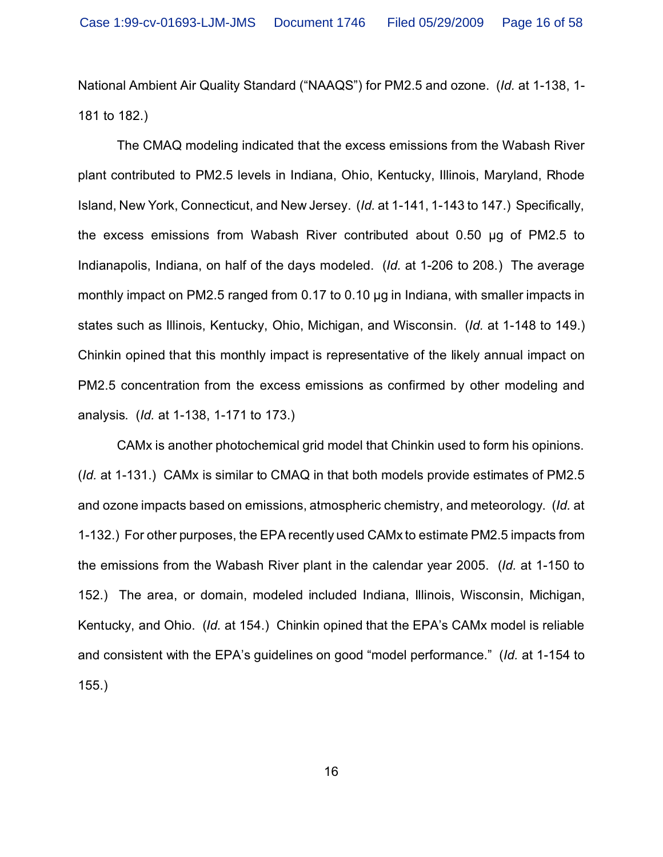National Ambient Air Quality Standard ("NAAQS") for PM2.5 and ozone. (*Id.* at 1-138, 1- 181 to 182.)

The CMAQ modeling indicated that the excess emissions from the Wabash River plant contributed to PM2.5 levels in Indiana, Ohio, Kentucky, Illinois, Maryland, Rhode Island, New York, Connecticut, and New Jersey. (*Id.* at 1-141, 1-143 to 147.) Specifically, the excess emissions from Wabash River contributed about 0.50 µg of PM2.5 to Indianapolis, Indiana, on half of the days modeled. (*Id.* at 1-206 to 208.) The average monthly impact on PM2.5 ranged from 0.17 to 0.10 µg in Indiana, with smaller impacts in states such as Illinois, Kentucky, Ohio, Michigan, and Wisconsin. (*Id.* at 1-148 to 149.) Chinkin opined that this monthly impact is representative of the likely annual impact on PM2.5 concentration from the excess emissions as confirmed by other modeling and analysis. (*Id.* at 1-138, 1-171 to 173.)

CAMx is another photochemical grid model that Chinkin used to form his opinions. (*Id.* at 1-131.) CAMx is similar to CMAQ in that both models provide estimates of PM2.5 and ozone impacts based on emissions, atmospheric chemistry, and meteorology. (*Id.* at 1-132.) For other purposes, the EPA recently used CAMx to estimate PM2.5 impacts from the emissions from the Wabash River plant in the calendar year 2005. (*Id.* at 1-150 to 152.) The area, or domain, modeled included Indiana, Illinois, Wisconsin, Michigan, Kentucky, and Ohio. (*Id.* at 154.) Chinkin opined that the EPA's CAMx model is reliable and consistent with the EPA's guidelines on good "model performance." (*Id.* at 1-154 to 155.)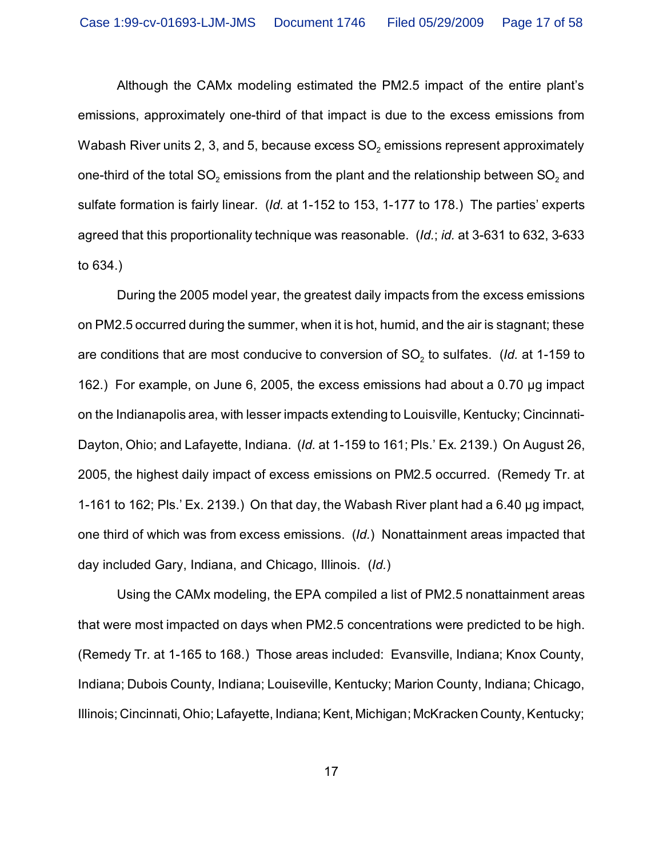Although the CAMx modeling estimated the PM2.5 impact of the entire plant's emissions, approximately one-third of that impact is due to the excess emissions from Wabash River units 2, 3, and 5, because excess SO $_{\rm 2}$  emissions represent approximately one-third of the total SO $_2$  emissions from the plant and the relationship between SO $_2$  and sulfate formation is fairly linear. (*Id.* at 1-152 to 153, 1-177 to 178.) The parties' experts agreed that this proportionality technique was reasonable. (*Id.*; *id.* at 3-631 to 632, 3-633 to 634.)

During the 2005 model year, the greatest daily impacts from the excess emissions on PM2.5 occurred during the summer, when it is hot, humid, and the air is stagnant; these are conditions that are most conducive to conversion of SO<sub>2</sub> to sulfates. *(Id.* at 1-159 to 162.) For example, on June 6, 2005, the excess emissions had about a 0.70 µg impact on the Indianapolis area, with lesser impacts extending to Louisville, Kentucky; Cincinnati-Dayton, Ohio; and Lafayette, Indiana. (*Id.* at 1-159 to 161; Pls.' Ex. 2139.) On August 26, 2005, the highest daily impact of excess emissions on PM2.5 occurred. (Remedy Tr. at 1-161 to 162; Pls.' Ex. 2139.) On that day, the Wabash River plant had a 6.40 µg impact, one third of which was from excess emissions. (*Id.*) Nonattainment areas impacted that day included Gary, Indiana, and Chicago, Illinois. (*Id.*)

Using the CAMx modeling, the EPA compiled a list of PM2.5 nonattainment areas that were most impacted on days when PM2.5 concentrations were predicted to be high. (Remedy Tr. at 1-165 to 168.) Those areas included: Evansville, Indiana; Knox County, Indiana; Dubois County, Indiana; Louiseville, Kentucky; Marion County, Indiana; Chicago, Illinois; Cincinnati, Ohio; Lafayette, Indiana; Kent, Michigan; McKracken County, Kentucky;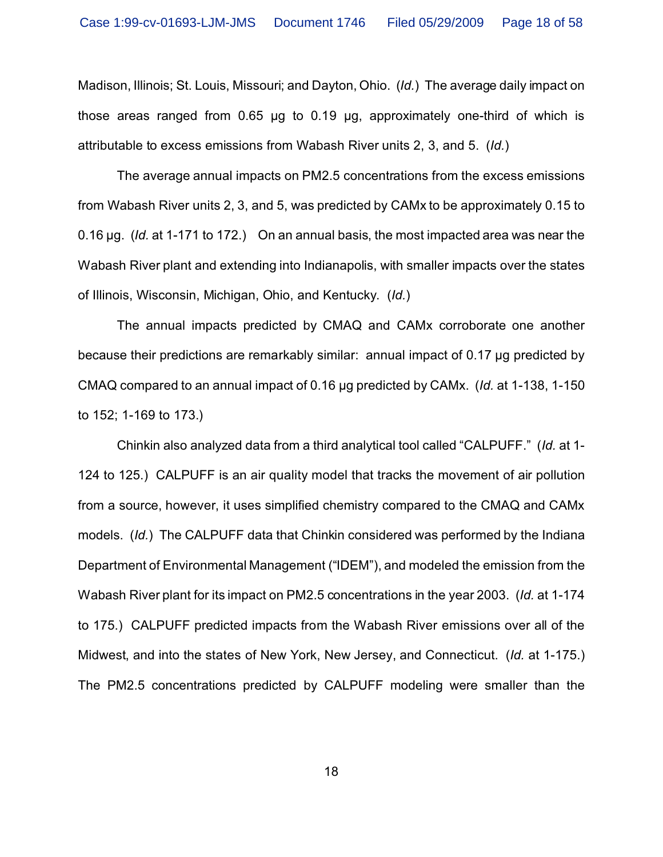Madison, Illinois; St. Louis, Missouri; and Dayton, Ohio. (*Id.*) The average daily impact on those areas ranged from 0.65 µg to 0.19 µg, approximately one-third of which is attributable to excess emissions from Wabash River units 2, 3, and 5. (*Id.*)

The average annual impacts on PM2.5 concentrations from the excess emissions from Wabash River units 2, 3, and 5, was predicted by CAMx to be approximately 0.15 to 0.16 µg. (*Id.* at 1-171 to 172.) On an annual basis, the most impacted area was near the Wabash River plant and extending into Indianapolis, with smaller impacts over the states of Illinois, Wisconsin, Michigan, Ohio, and Kentucky. (*Id.*)

The annual impacts predicted by CMAQ and CAMx corroborate one another because their predictions are remarkably similar: annual impact of 0.17 µg predicted by CMAQ compared to an annual impact of 0.16 µg predicted by CAMx. (*Id.* at 1-138, 1-150 to 152; 1-169 to 173.)

Chinkin also analyzed data from a third analytical tool called "CALPUFF." (*Id.* at 1- 124 to 125.) CALPUFF is an air quality model that tracks the movement of air pollution from a source, however, it uses simplified chemistry compared to the CMAQ and CAMx models. (*Id.*) The CALPUFF data that Chinkin considered was performed by the Indiana Department of Environmental Management ("IDEM"), and modeled the emission from the Wabash River plant for its impact on PM2.5 concentrations in the year 2003. (*Id.* at 1-174 to 175.) CALPUFF predicted impacts from the Wabash River emissions over all of the Midwest, and into the states of New York, New Jersey, and Connecticut. (*Id.* at 1-175.) The PM2.5 concentrations predicted by CALPUFF modeling were smaller than the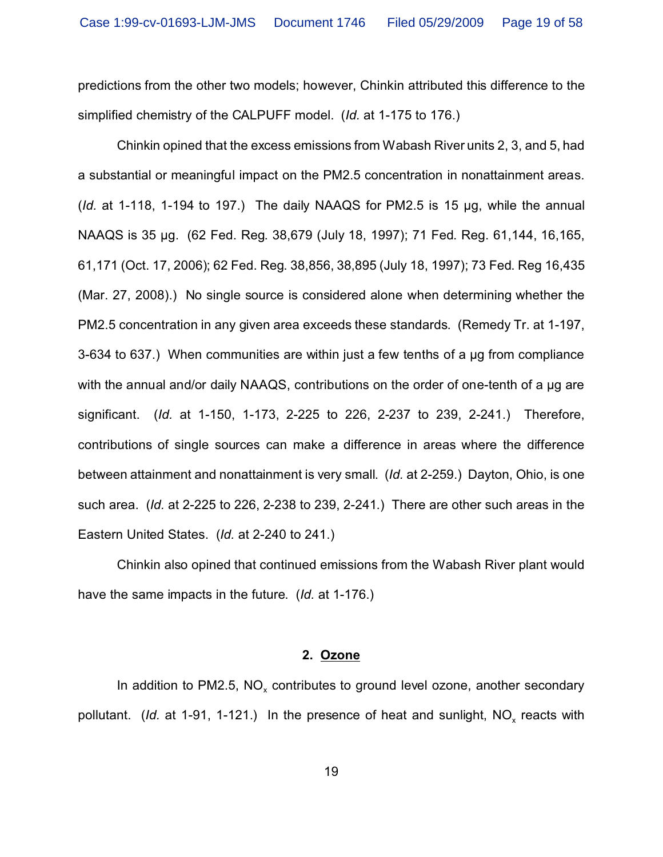predictions from the other two models; however, Chinkin attributed this difference to the simplified chemistry of the CALPUFF model. (*Id.* at 1-175 to 176.)

Chinkin opined that the excess emissions from Wabash River units 2, 3, and 5, had a substantial or meaningful impact on the PM2.5 concentration in nonattainment areas. (*Id.* at 1-118, 1-194 to 197.) The daily NAAQS for PM2.5 is 15 µg, while the annual NAAQS is 35 µg. (62 Fed. Reg. 38,679 (July 18, 1997); 71 Fed. Reg. 61,144, 16,165, 61,171 (Oct. 17, 2006); 62 Fed. Reg. 38,856, 38,895 (July 18, 1997); 73 Fed. Reg 16,435 (Mar. 27, 2008).) No single source is considered alone when determining whether the PM2.5 concentration in any given area exceeds these standards. (Remedy Tr. at 1-197, 3-634 to 637.) When communities are within just a few tenths of a µg from compliance with the annual and/or daily NAAQS, contributions on the order of one-tenth of a µg are significant. (*Id.* at 1-150, 1-173, 2-225 to 226, 2-237 to 239, 2-241.) Therefore, contributions of single sources can make a difference in areas where the difference between attainment and nonattainment is very small. (*Id.* at 2-259.) Dayton, Ohio, is one such area. (*Id.* at 2-225 to 226, 2-238 to 239, 2-241.) There are other such areas in the Eastern United States. (*Id.* at 2-240 to 241.)

Chinkin also opined that continued emissions from the Wabash River plant would have the same impacts in the future. (*Id.* at 1-176.)

#### **2. Ozone**

In addition to PM2.5, NO<sub>x</sub> contributes to ground level ozone, another secondary pollutant. (*Id.* at 1-91, 1-121.) In the presence of heat and sunlight, NO<sub>x</sub> reacts with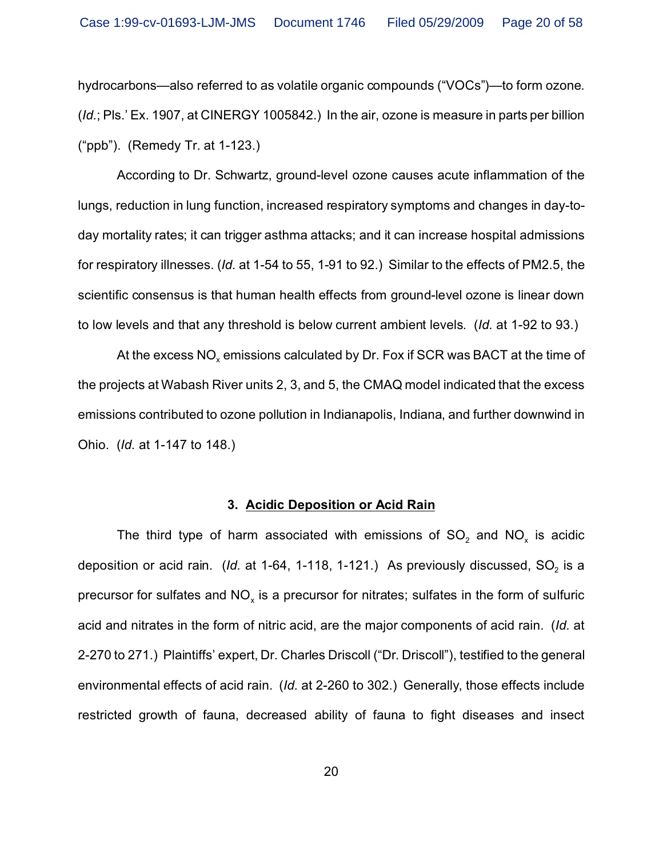hydrocarbons—also referred to as volatile organic compounds ("VOCs")—to form ozone. (*Id.*; Pls.' Ex. 1907, at CINERGY 1005842.) In the air, ozone is measure in parts per billion ("ppb"). (Remedy Tr. at 1-123.)

According to Dr. Schwartz, ground-level ozone causes acute inflammation of the lungs, reduction in lung function, increased respiratory symptoms and changes in day-today mortality rates; it can trigger asthma attacks; and it can increase hospital admissions for respiratory illnesses. (*Id.* at 1-54 to 55, 1-91 to 92.) Similar to the effects of PM2.5, the scientific consensus is that human health effects from ground-level ozone is linear down to low levels and that any threshold is below current ambient levels. (*Id.* at 1-92 to 93.)

At the excess NO $_\mathrm{\tiny X}$  emissions calculated by Dr. Fox if SCR was BACT at the time of the projects at Wabash River units 2, 3, and 5, the CMAQ model indicated that the excess emissions contributed to ozone pollution in Indianapolis, Indiana, and further downwind in Ohio. (*Id.* at 1-147 to 148.)

#### **3. Acidic Deposition or Acid Rain**

The third type of harm associated with emissions of SO<sub>2</sub> and NO<sub>x</sub> is acidic deposition or acid rain.  $\,$  (*ld.* at 1-64, 1-118, 1-121.)  $\,$  As previously discussed, SO $_2$  is a precursor for sulfates and NO $_{\mathrm{\mathsf{x}}}$  is a precursor for nitrates; sulfates in the form of sulfuric acid and nitrates in the form of nitric acid, are the major components of acid rain. (*Id.* at 2-270 to 271.) Plaintiffs' expert, Dr. Charles Driscoll ("Dr. Driscoll"), testified to the general environmental effects of acid rain. (*Id.* at 2-260 to 302.) Generally, those effects include restricted growth of fauna, decreased ability of fauna to fight diseases and insect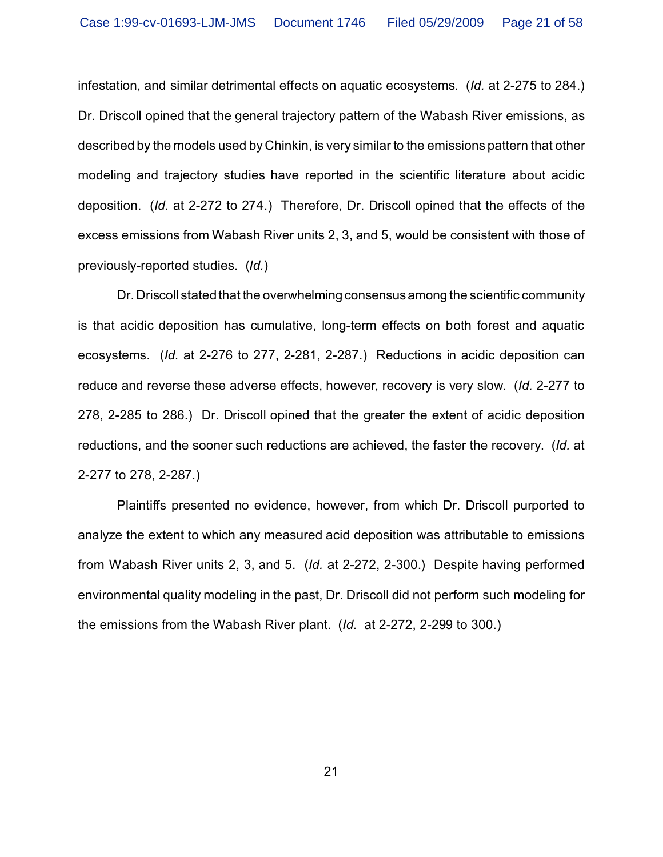infestation, and similar detrimental effects on aquatic ecosystems. (*Id.* at 2-275 to 284.) Dr. Driscoll opined that the general trajectory pattern of the Wabash River emissions, as described by the models used by Chinkin, is very similar to the emissions pattern that other modeling and trajectory studies have reported in the scientific literature about acidic deposition. (*Id.* at 2-272 to 274.) Therefore, Dr. Driscoll opined that the effects of the excess emissions from Wabash River units 2, 3, and 5, would be consistent with those of previously-reported studies. (*Id.*)

Dr. Driscoll stated that the overwhelming consensusamong the scientific community is that acidic deposition has cumulative, long-term effects on both forest and aquatic ecosystems. (*Id.* at 2-276 to 277, 2-281, 2-287.) Reductions in acidic deposition can reduce and reverse these adverse effects, however, recovery is very slow. (*Id.* 2-277 to 278, 2-285 to 286.) Dr. Driscoll opined that the greater the extent of acidic deposition reductions, and the sooner such reductions are achieved, the faster the recovery. (*Id.* at 2-277 to 278, 2-287.)

Plaintiffs presented no evidence, however, from which Dr. Driscoll purported to analyze the extent to which any measured acid deposition was attributable to emissions from Wabash River units 2, 3, and 5. (*Id.* at 2-272, 2-300.) Despite having performed environmental quality modeling in the past, Dr. Driscoll did not perform such modeling for the emissions from the Wabash River plant. (*Id.* at 2-272, 2-299 to 300.)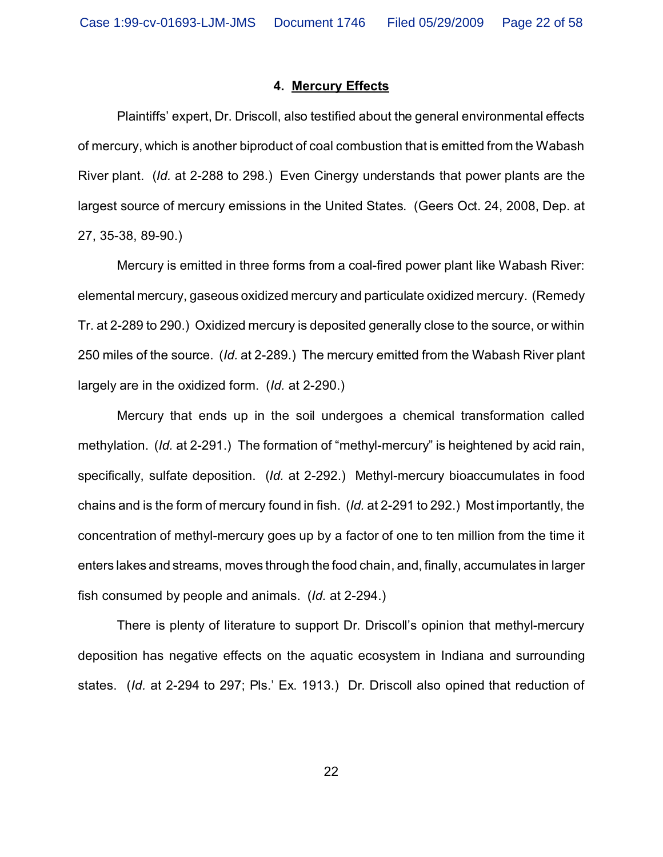### **4. Mercury Effects**

Plaintiffs' expert, Dr. Driscoll, also testified about the general environmental effects of mercury, which is another biproduct of coal combustion that is emitted from the Wabash River plant. (*Id.* at 2-288 to 298.) Even Cinergy understands that power plants are the largest source of mercury emissions in the United States. (Geers Oct. 24, 2008, Dep. at 27, 35-38, 89-90.)

Mercury is emitted in three forms from a coal-fired power plant like Wabash River: elemental mercury, gaseous oxidized mercury and particulate oxidized mercury. (Remedy Tr. at 2-289 to 290.) Oxidized mercury is deposited generally close to the source, or within 250 miles of the source. (*Id.* at 2-289.) The mercury emitted from the Wabash River plant largely are in the oxidized form. (*Id.* at 2-290.)

Mercury that ends up in the soil undergoes a chemical transformation called methylation. (*Id.* at 2-291.) The formation of "methyl-mercury" is heightened by acid rain, specifically, sulfate deposition. (*Id.* at 2-292.) Methyl-mercury bioaccumulates in food chains and is the form of mercury found in fish. (*Id.* at 2-291 to 292.) Most importantly, the concentration of methyl-mercury goes up by a factor of one to ten million from the time it enters lakes and streams, moves through the food chain, and, finally, accumulates in larger fish consumed by people and animals. (*Id.* at 2-294.)

There is plenty of literature to support Dr. Driscoll's opinion that methyl-mercury deposition has negative effects on the aquatic ecosystem in Indiana and surrounding states. (*Id.* at 2-294 to 297; Pls.' Ex. 1913.) Dr. Driscoll also opined that reduction of

22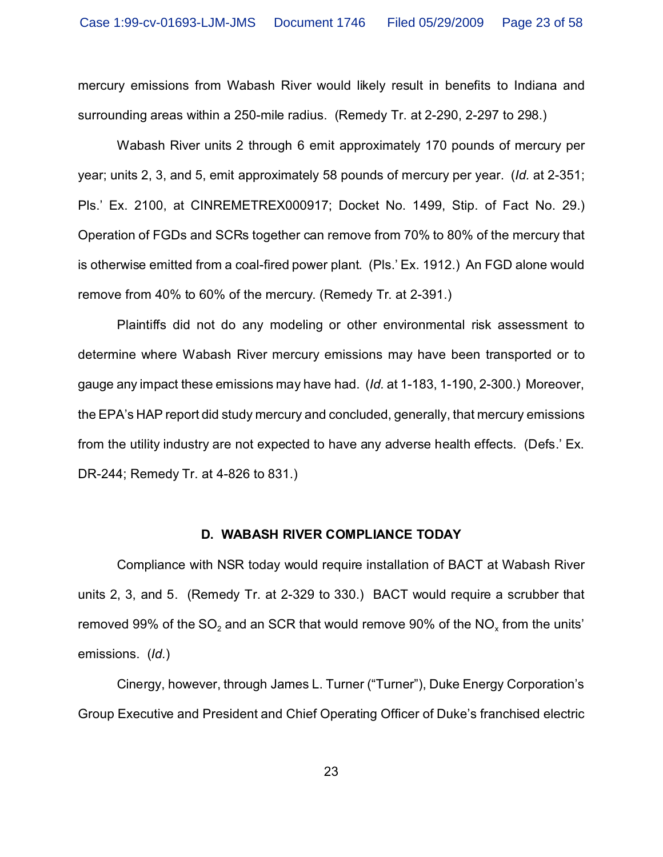mercury emissions from Wabash River would likely result in benefits to Indiana and surrounding areas within a 250-mile radius. (Remedy Tr. at 2-290, 2-297 to 298.)

Wabash River units 2 through 6 emit approximately 170 pounds of mercury per year; units 2, 3, and 5, emit approximately 58 pounds of mercury per year. (*Id.* at 2-351; Pls.' Ex. 2100, at CINREMETREX000917; Docket No. 1499, Stip. of Fact No. 29.) Operation of FGDs and SCRs together can remove from 70% to 80% of the mercury that is otherwise emitted from a coal-fired power plant. (Pls.' Ex. 1912.) An FGD alone would remove from 40% to 60% of the mercury. (Remedy Tr. at 2-391.)

Plaintiffs did not do any modeling or other environmental risk assessment to determine where Wabash River mercury emissions may have been transported or to gauge any impact these emissions may have had. (*Id.* at 1-183, 1-190, 2-300.) Moreover, the EPA's HAP report did study mercury and concluded, generally, that mercury emissions from the utility industry are not expected to have any adverse health effects. (Defs.' Ex. DR-244; Remedy Tr. at 4-826 to 831.)

#### **D. WABASH RIVER COMPLIANCE TODAY**

Compliance with NSR today would require installation of BACT at Wabash River units 2, 3, and 5. (Remedy Tr. at 2-329 to 330.) BACT would require a scrubber that removed 99% of the SO $_2$  and an SCR that would remove 90% of the NO $_{\sf x}$  from the units' emissions. (*Id.*)

Cinergy, however, through James L. Turner ("Turner"), Duke Energy Corporation's Group Executive and President and Chief Operating Officer of Duke's franchised electric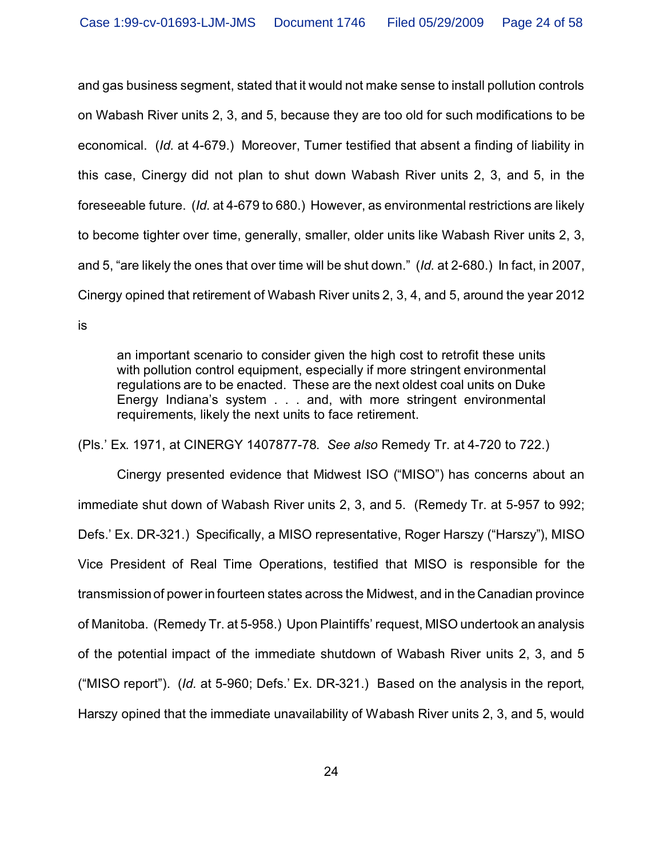and gas business segment, stated that it would not make sense to install pollution controls on Wabash River units 2, 3, and 5, because they are too old for such modifications to be economical. (*Id.* at 4-679.) Moreover, Turner testified that absent a finding of liability in this case, Cinergy did not plan to shut down Wabash River units 2, 3, and 5, in the foreseeable future. (*Id.* at 4-679 to 680.) However, as environmental restrictions are likely to become tighter over time, generally, smaller, older units like Wabash River units 2, 3, and 5, "are likely the ones that over time will be shut down." (*Id.* at 2-680.) In fact, in 2007, Cinergy opined that retirement of Wabash River units 2, 3, 4, and 5, around the year 2012 is

an important scenario to consider given the high cost to retrofit these units with pollution control equipment, especially if more stringent environmental regulations are to be enacted. These are the next oldest coal units on Duke Energy Indiana's system . . . and, with more stringent environmental requirements, likely the next units to face retirement.

(Pls.' Ex. 1971, at CINERGY 1407877-78. *See also* Remedy Tr. at 4-720 to 722.)

Cinergy presented evidence that Midwest ISO ("MISO") has concerns about an immediate shut down of Wabash River units 2, 3, and 5. (Remedy Tr. at 5-957 to 992; Defs.' Ex. DR-321.) Specifically, a MISO representative, Roger Harszy ("Harszy"), MISO Vice President of Real Time Operations, testified that MISO is responsible for the transmission of power in fourteen states across the Midwest, and in the Canadian province of Manitoba. (Remedy Tr. at 5-958.) Upon Plaintiffs' request, MISO undertook an analysis of the potential impact of the immediate shutdown of Wabash River units 2, 3, and 5 ("MISO report"). (*Id.* at 5-960; Defs.' Ex. DR-321.) Based on the analysis in the report, Harszy opined that the immediate unavailability of Wabash River units 2, 3, and 5, would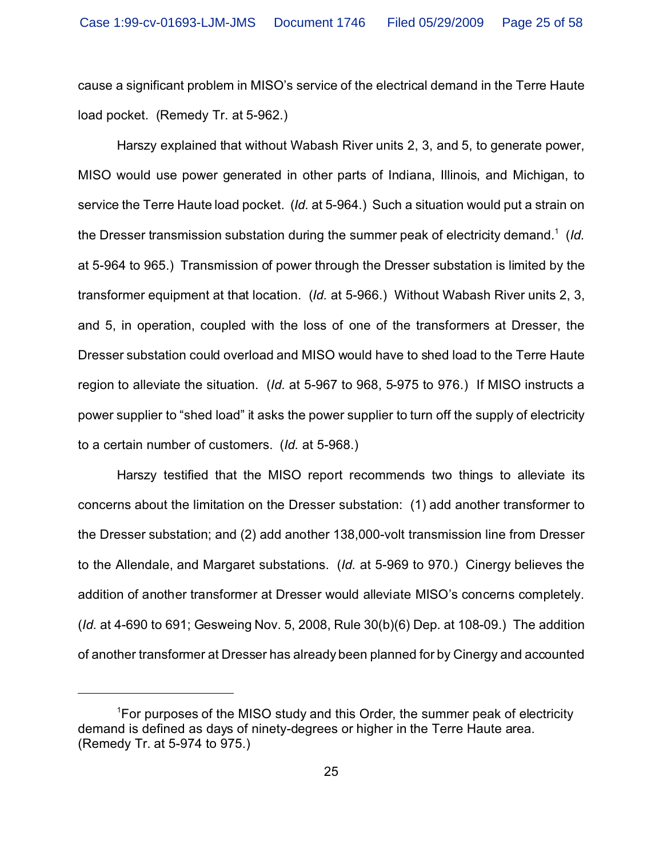cause a significant problem in MISO's service of the electrical demand in the Terre Haute load pocket. (Remedy Tr. at 5-962.)

Harszy explained that without Wabash River units 2, 3, and 5, to generate power, MISO would use power generated in other parts of Indiana, Illinois, and Michigan, to service the Terre Haute load pocket. (*Id.* at 5-964.) Such a situation would put a strain on the Dresser transmission substation during the summer peak of electricity demand.<sup>1</sup> (*Id.* at 5-964 to 965.) Transmission of power through the Dresser substation is limited by the transformer equipment at that location. (*Id.* at 5-966.) Without Wabash River units 2, 3, and 5, in operation, coupled with the loss of one of the transformers at Dresser, the Dresser substation could overload and MISO would have to shed load to the Terre Haute region to alleviate the situation. (*Id.* at 5-967 to 968, 5-975 to 976.) If MISO instructs a power supplier to "shed load" it asks the power supplier to turn off the supply of electricity to a certain number of customers. (*Id.* at 5-968.)

Harszy testified that the MISO report recommends two things to alleviate its concerns about the limitation on the Dresser substation: (1) add another transformer to the Dresser substation; and (2) add another 138,000-volt transmission line from Dresser to the Allendale, and Margaret substations. (*Id.* at 5-969 to 970.) Cinergy believes the addition of another transformer at Dresser would alleviate MISO's concerns completely. (*Id.* at 4-690 to 691; Gesweing Nov. 5, 2008, Rule 30(b)(6) Dep. at 108-09.) The addition of another transformer at Dresser has already been planned for by Cinergy and accounted

 $1$ For purposes of the MISO study and this Order, the summer peak of electricity demand is defined as days of ninety-degrees or higher in the Terre Haute area. (Remedy Tr. at 5-974 to 975.)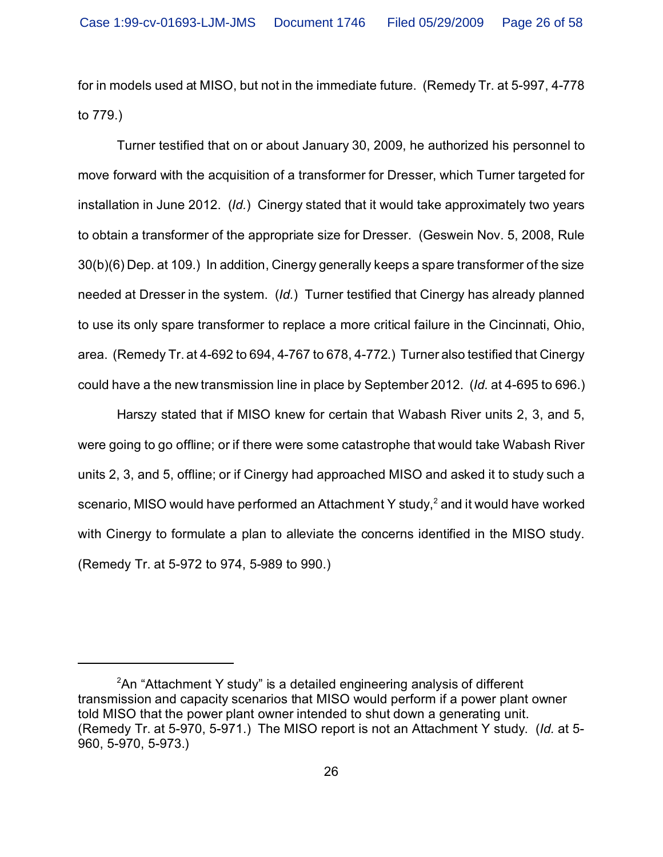for in models used at MISO, but not in the immediate future. (Remedy Tr. at 5-997, 4-778 to 779.)

Turner testified that on or about January 30, 2009, he authorized his personnel to move forward with the acquisition of a transformer for Dresser, which Turner targeted for installation in June 2012. (*Id.*) Cinergy stated that it would take approximately two years to obtain a transformer of the appropriate size for Dresser. (Geswein Nov. 5, 2008, Rule 30(b)(6) Dep. at 109.) In addition, Cinergy generally keeps a spare transformer of the size needed at Dresser in the system. (*Id.*) Turner testified that Cinergy has already planned to use its only spare transformer to replace a more critical failure in the Cincinnati, Ohio, area. (Remedy Tr. at 4-692 to 694, 4-767 to 678, 4-772.) Turner also testified that Cinergy could have a the new transmission line in place by September 2012. (*Id.* at 4-695 to 696.)

Harszy stated that if MISO knew for certain that Wabash River units 2, 3, and 5, were going to go offline; or if there were some catastrophe that would take Wabash River units 2, 3, and 5, offline; or if Cinergy had approached MISO and asked it to study such a scenario, MISO would have performed an Attachment Y study,<sup>2</sup> and it would have worked with Cinergy to formulate a plan to alleviate the concerns identified in the MISO study. (Remedy Tr. at 5-972 to 974, 5-989 to 990.)

 $2^2$ An "Attachment Y study" is a detailed engineering analysis of different transmission and capacity scenarios that MISO would perform if a power plant owner told MISO that the power plant owner intended to shut down a generating unit. (Remedy Tr. at 5-970, 5-971.) The MISO report is not an Attachment Y study. (*Id.* at 5- 960, 5-970, 5-973.)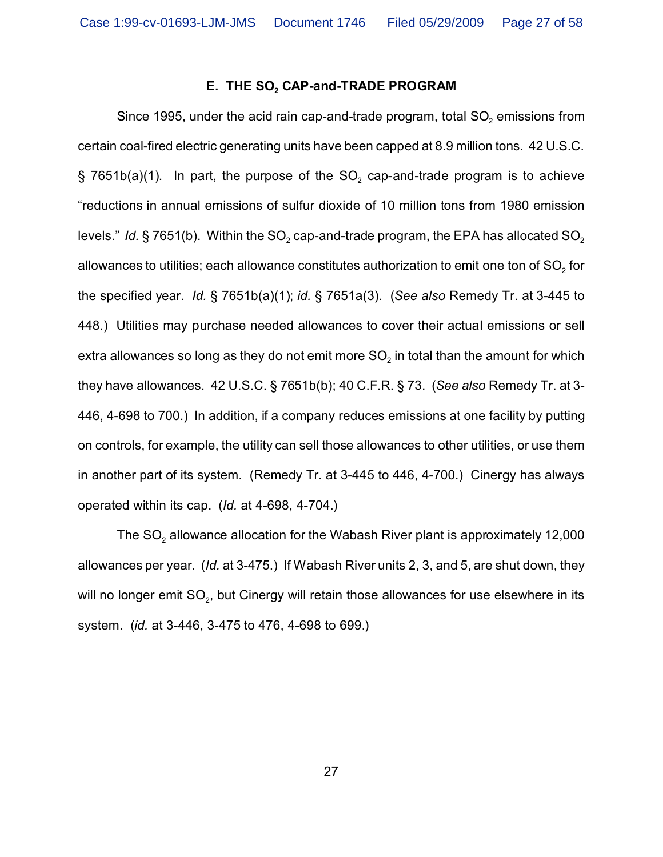# **E. THE SO<sup>2</sup> CAP-and-TRADE PROGRAM**

Since 1995, under the acid rain cap-and-trade program, total SO $_{\textrm{\tiny{2}}}$  emissions from certain coal-fired electric generating units have been capped at 8.9 million tons. 42 U.S.C.  $\S$  7651b(a)(1). In part, the purpose of the SO $_2$  cap-and-trade program is to achieve "reductions in annual emissions of sulfur dioxide of 10 million tons from 1980 emission levels." *Id.* § 7651(b). Within the SO<sub>2</sub> cap-and-trade program, the EPA has allocated SO<sub>2</sub> allowances to utilities; each allowance constitutes authorization to emit one ton of SO $_{\text{2}}$  for the specified year. *Id.* § 7651b(a)(1); *id.* § 7651a(3). (*See also* Remedy Tr. at 3-445 to 448.) Utilities may purchase needed allowances to cover their actual emissions or sell extra allowances so long as they do not emit more SO $_{\textrm{\tiny{2}}}$  in total than the amount for which they have allowances. 42 U.S.C. § 7651b(b); 40 C.F.R. § 73. (*See also* Remedy Tr. at 3- 446, 4-698 to 700.) In addition, if a company reduces emissions at one facility by putting on controls, for example, the utility can sell those allowances to other utilities, or use them in another part of its system. (Remedy Tr. at 3-445 to 446, 4-700.) Cinergy has always operated within its cap. (*Id.* at 4-698, 4-704.)

The SO $_{\tiny 2}$  allowance allocation for the Wabash River plant is approximately 12,000 allowances per year. (*Id.* at 3-475.) If Wabash River units 2, 3, and 5, are shut down, they will no longer emit SO $_{\rm 2}$ , but Cinergy will retain those allowances for use elsewhere in its system. (*id.* at 3-446, 3-475 to 476, 4-698 to 699.)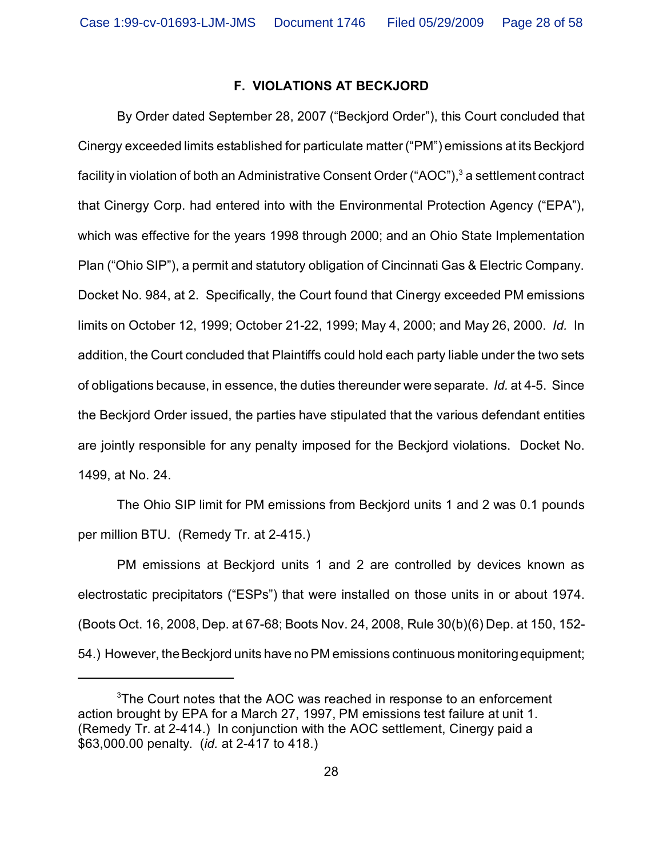# **F. VIOLATIONS AT BECKJORD**

By Order dated September 28, 2007 ("Beckjord Order"), this Court concluded that Cinergy exceeded limits established for particulate matter ("PM") emissions at its Beckjord facility in violation of both an Administrative Consent Order ("AOC"), $^3$  a settlement contract that Cinergy Corp. had entered into with the Environmental Protection Agency ("EPA"), which was effective for the years 1998 through 2000; and an Ohio State Implementation Plan ("Ohio SIP"), a permit and statutory obligation of Cincinnati Gas & Electric Company. Docket No. 984, at 2. Specifically, the Court found that Cinergy exceeded PM emissions limits on October 12, 1999; October 21-22, 1999; May 4, 2000; and May 26, 2000. *Id.* In addition, the Court concluded that Plaintiffs could hold each party liable under the two sets of obligations because, in essence, the duties thereunder were separate. *Id.* at 4-5. Since the Beckjord Order issued, the parties have stipulated that the various defendant entities are jointly responsible for any penalty imposed for the Beckjord violations. Docket No. 1499, at No. 24.

The Ohio SIP limit for PM emissions from Beckjord units 1 and 2 was 0.1 pounds per million BTU. (Remedy Tr. at 2-415.)

PM emissions at Beckjord units 1 and 2 are controlled by devices known as electrostatic precipitators ("ESPs") that were installed on those units in or about 1974. (Boots Oct. 16, 2008, Dep. at 67-68; Boots Nov. 24, 2008, Rule 30(b)(6) Dep. at 150, 152- 54.) However, the Beckjord units have no PM emissions continuous monitoring equipment;

<sup>&</sup>lt;sup>3</sup>The Court notes that the AOC was reached in response to an enforcement action brought by EPA for a March 27, 1997, PM emissions test failure at unit 1. (Remedy Tr. at 2-414.) In conjunction with the AOC settlement, Cinergy paid a \$63,000.00 penalty. (*id.* at 2-417 to 418.)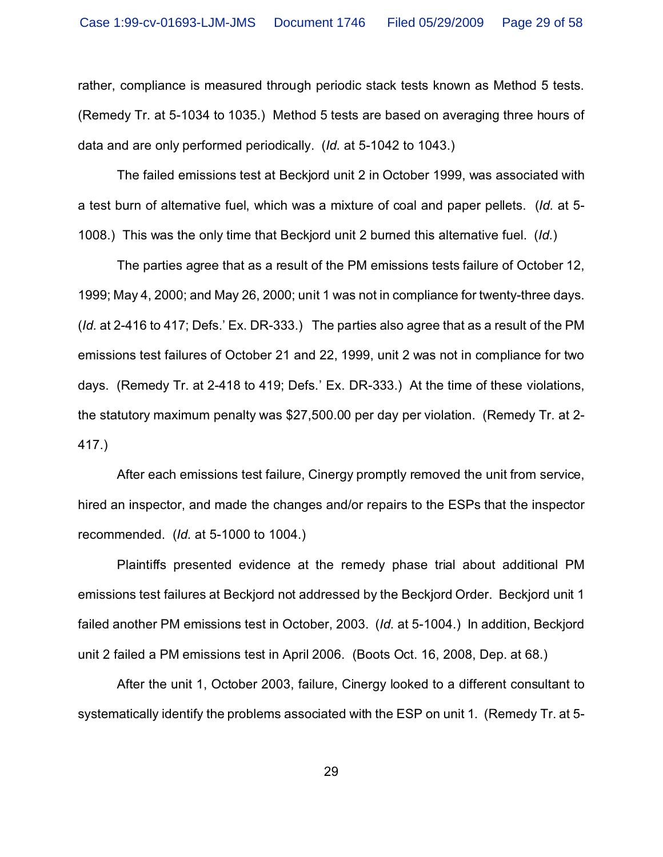rather, compliance is measured through periodic stack tests known as Method 5 tests. (Remedy Tr. at 5-1034 to 1035.) Method 5 tests are based on averaging three hours of data and are only performed periodically. (*Id.* at 5-1042 to 1043.)

The failed emissions test at Beckjord unit 2 in October 1999, was associated with a test burn of alternative fuel, which was a mixture of coal and paper pellets. (*Id.* at 5- 1008.) This was the only time that Beckjord unit 2 burned this alternative fuel. (*Id.*)

The parties agree that as a result of the PM emissions tests failure of October 12, 1999; May 4, 2000; and May 26, 2000; unit 1 was not in compliance for twenty-three days. (*Id.* at 2-416 to 417; Defs.' Ex. DR-333.) The parties also agree that as a result of the PM emissions test failures of October 21 and 22, 1999, unit 2 was not in compliance for two days. (Remedy Tr. at 2-418 to 419; Defs.' Ex. DR-333.) At the time of these violations, the statutory maximum penalty was \$27,500.00 per day per violation. (Remedy Tr. at 2- 417.)

After each emissions test failure, Cinergy promptly removed the unit from service, hired an inspector, and made the changes and/or repairs to the ESPs that the inspector recommended. (*Id.* at 5-1000 to 1004.)

Plaintiffs presented evidence at the remedy phase trial about additional PM emissions test failures at Beckjord not addressed by the Beckjord Order. Beckjord unit 1 failed another PM emissions test in October, 2003. (*Id.* at 5-1004.) In addition, Beckjord unit 2 failed a PM emissions test in April 2006. (Boots Oct. 16, 2008, Dep. at 68.)

After the unit 1, October 2003, failure, Cinergy looked to a different consultant to systematically identify the problems associated with the ESP on unit 1. (Remedy Tr. at 5-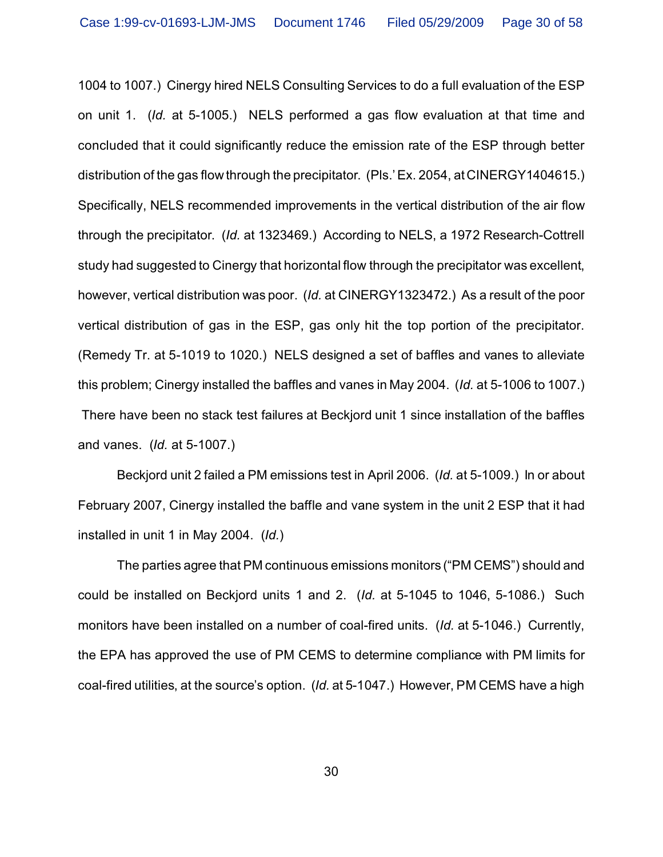1004 to 1007.) Cinergy hired NELS Consulting Services to do a full evaluation of the ESP on unit 1. (*Id.* at 5-1005.) NELS performed a gas flow evaluation at that time and concluded that it could significantly reduce the emission rate of the ESP through better distribution of the gas flow through the precipitator. (Pls.' Ex. 2054, at CINERGY1404615.) Specifically, NELS recommended improvements in the vertical distribution of the air flow through the precipitator. (*Id.* at 1323469.) According to NELS, a 1972 Research-Cottrell study had suggested to Cinergy that horizontal flow through the precipitator was excellent, however, vertical distribution was poor. (*Id.* at CINERGY1323472.) As a result of the poor vertical distribution of gas in the ESP, gas only hit the top portion of the precipitator. (Remedy Tr. at 5-1019 to 1020.) NELS designed a set of baffles and vanes to alleviate this problem; Cinergy installed the baffles and vanes in May 2004. (*Id.* at 5-1006 to 1007.) There have been no stack test failures at Beckjord unit 1 since installation of the baffles and vanes. (*Id.* at 5-1007.)

Beckjord unit 2 failed a PM emissions test in April 2006. (*Id.* at 5-1009.) In or about February 2007, Cinergy installed the baffle and vane system in the unit 2 ESP that it had installed in unit 1 in May 2004. (*Id.*)

The parties agree that PM continuous emissions monitors ("PM CEMS") should and could be installed on Beckjord units 1 and 2. (*Id.* at 5-1045 to 1046, 5-1086.) Such monitors have been installed on a number of coal-fired units. (*Id.* at 5-1046.) Currently, the EPA has approved the use of PM CEMS to determine compliance with PM limits for coal-fired utilities, at the source's option. (*Id.* at 5-1047.) However, PM CEMS have a high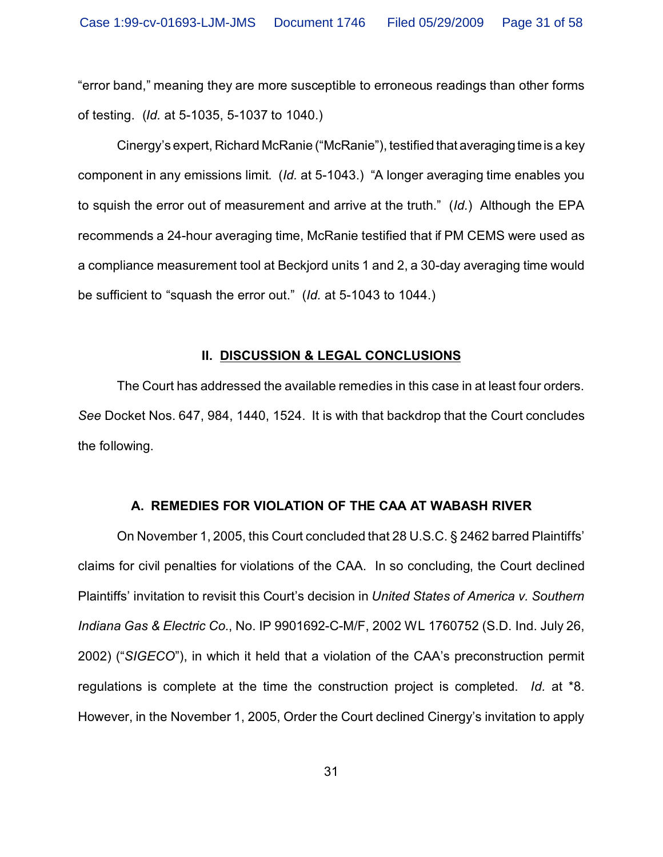"error band," meaning they are more susceptible to erroneous readings than other forms of testing. (*Id.* at 5-1035, 5-1037 to 1040.)

Cinergy's expert, Richard McRanie ("McRanie"), testified that averaging time is a key component in any emissions limit. (*Id.* at 5-1043.) "A longer averaging time enables you to squish the error out of measurement and arrive at the truth." (*Id.*) Although the EPA recommends a 24-hour averaging time, McRanie testified that if PM CEMS were used as a compliance measurement tool at Beckjord units 1 and 2, a 30-day averaging time would be sufficient to "squash the error out." (*Id.* at 5-1043 to 1044.)

### **II. DISCUSSION & LEGAL CONCLUSIONS**

The Court has addressed the available remedies in this case in at least four orders. *See* Docket Nos. 647, 984, 1440, 1524. It is with that backdrop that the Court concludes the following.

# **A. REMEDIES FOR VIOLATION OF THE CAA AT WABASH RIVER**

On November 1, 2005, this Court concluded that 28 U.S.C. § 2462 barred Plaintiffs' claims for civil penalties for violations of the CAA. In so concluding, the Court declined Plaintiffs' invitation to revisit this Court's decision in *United States of America v. Southern Indiana Gas & Electric Co.*, No. IP 9901692-C-M/F, 2002 WL 1760752 (S.D. Ind. July 26, 2002) ("*SIGECO*"), in which it held that a violation of the CAA's preconstruction permit regulations is complete at the time the construction project is completed. *Id.* at \*8. However, in the November 1, 2005, Order the Court declined Cinergy's invitation to apply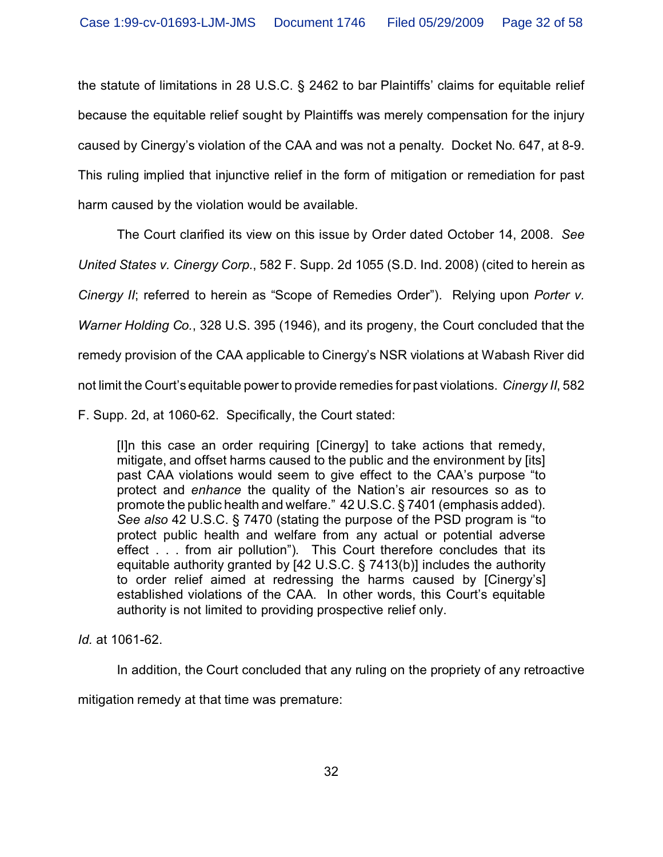the statute of limitations in 28 U.S.C. § 2462 to bar Plaintiffs' claims for equitable relief because the equitable relief sought by Plaintiffs was merely compensation for the injury caused by Cinergy's violation of the CAA and was not a penalty. Docket No. 647, at 8-9. This ruling implied that injunctive relief in the form of mitigation or remediation for past harm caused by the violation would be available.

The Court clarified its view on this issue by Order dated October 14, 2008. *See United States v. Cinergy Corp.*, 582 F. Supp. 2d 1055 (S.D. Ind. 2008) (cited to herein as *Cinergy II*; referred to herein as "Scope of Remedies Order"). Relying upon *Porter v. Warner Holding Co.*, 328 U.S. 395 (1946), and its progeny, the Court concluded that the remedy provision of the CAA applicable to Cinergy's NSR violations at Wabash River did not limit the Court's equitable power to provide remedies for past violations. *Cinergy II*, 582

F. Supp. 2d, at 1060-62. Specifically, the Court stated:

[I]n this case an order requiring [Cinergy] to take actions that remedy, mitigate, and offset harms caused to the public and the environment by [its] past CAA violations would seem to give effect to the CAA's purpose "to protect and *enhance* the quality of the Nation's air resources so as to promote the public health and welfare." 42 U.S.C. § 7401 (emphasis added). *See also* 42 U.S.C. § 7470 (stating the purpose of the PSD program is "to protect public health and welfare from any actual or potential adverse effect . . . from air pollution"). This Court therefore concludes that its equitable authority granted by [42 U.S.C. § 7413(b)] includes the authority to order relief aimed at redressing the harms caused by [Cinergy's] established violations of the CAA. In other words, this Court's equitable authority is not limited to providing prospective relief only.

*Id.* at 1061-62.

In addition, the Court concluded that any ruling on the propriety of any retroactive

mitigation remedy at that time was premature: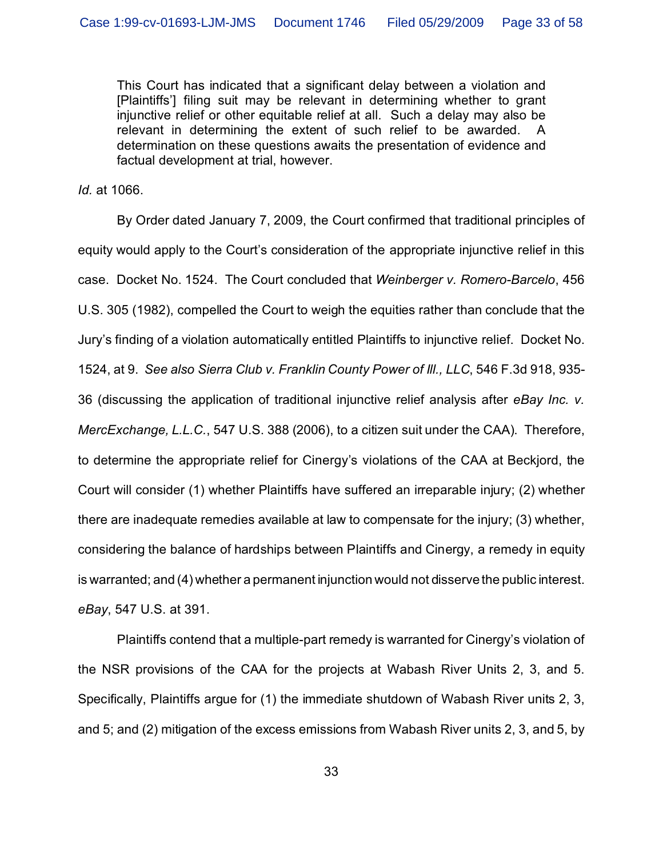This Court has indicated that a significant delay between a violation and [Plaintiffs'] filing suit may be relevant in determining whether to grant injunctive relief or other equitable relief at all. Such a delay may also be relevant in determining the extent of such relief to be awarded. determination on these questions awaits the presentation of evidence and factual development at trial, however.

*Id.* at 1066.

By Order dated January 7, 2009, the Court confirmed that traditional principles of equity would apply to the Court's consideration of the appropriate injunctive relief in this case. Docket No. 1524. The Court concluded that *Weinberger v. Romero-Barcelo*, 456 U.S. 305 (1982), compelled the Court to weigh the equities rather than conclude that the Jury's finding of a violation automatically entitled Plaintiffs to injunctive relief. Docket No. 1524, at 9. *See also Sierra Club v. Franklin County Power of Ill., LLC*, 546 F.3d 918, 935- 36 (discussing the application of traditional injunctive relief analysis after *eBay Inc. v. MercExchange, L.L.C.*, 547 U.S. 388 (2006), to a citizen suit under the CAA). Therefore, to determine the appropriate relief for Cinergy's violations of the CAA at Beckjord, the Court will consider (1) whether Plaintiffs have suffered an irreparable injury; (2) whether there are inadequate remedies available at law to compensate for the injury; (3) whether, considering the balance of hardships between Plaintiffs and Cinergy, a remedy in equity is warranted; and (4) whether a permanent injunction would not disserve the public interest. *eBay*, 547 U.S. at 391.

Plaintiffs contend that a multiple-part remedy is warranted for Cinergy's violation of the NSR provisions of the CAA for the projects at Wabash River Units 2, 3, and 5. Specifically, Plaintiffs argue for (1) the immediate shutdown of Wabash River units 2, 3, and 5; and (2) mitigation of the excess emissions from Wabash River units 2, 3, and 5, by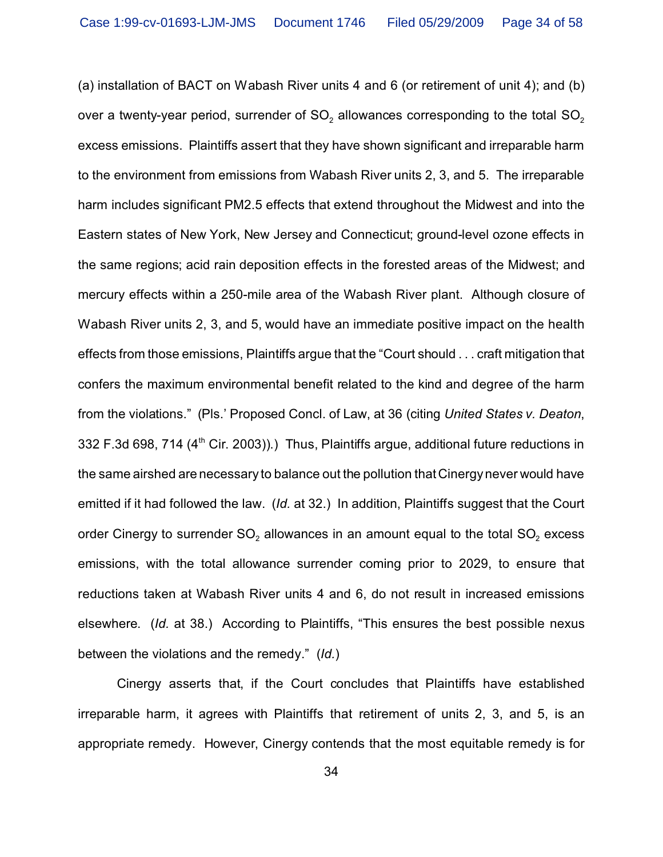(a) installation of BACT on Wabash River units 4 and 6 (or retirement of unit 4); and (b) over a twenty-year period, surrender of SO $_2$  allowances corresponding to the total SO $_2$ excess emissions. Plaintiffs assert that they have shown significant and irreparable harm to the environment from emissions from Wabash River units 2, 3, and 5. The irreparable harm includes significant PM2.5 effects that extend throughout the Midwest and into the Eastern states of New York, New Jersey and Connecticut; ground-level ozone effects in the same regions; acid rain deposition effects in the forested areas of the Midwest; and mercury effects within a 250-mile area of the Wabash River plant. Although closure of Wabash River units 2, 3, and 5, would have an immediate positive impact on the health effects from those emissions, Plaintiffs argue that the "Court should . . . craft mitigation that confers the maximum environmental benefit related to the kind and degree of the harm from the violations." (Pls.' Proposed Concl. of Law, at 36 (citing *United States v. Deaton*, 332 F.3d 698, 714 (4<sup>th</sup> Cir. 2003)).) Thus, Plaintiffs argue, additional future reductions in the same airshed are necessary to balance out the pollution that Cinergy never would have emitted if it had followed the law. (*Id.* at 32.) In addition, Plaintiffs suggest that the Court order Cinergy to surrender SO $_2$  allowances in an amount equal to the total SO $_2$  excess emissions, with the total allowance surrender coming prior to 2029, to ensure that reductions taken at Wabash River units 4 and 6, do not result in increased emissions elsewhere. (*Id.* at 38.) According to Plaintiffs, "This ensures the best possible nexus between the violations and the remedy." (*Id.*)

Cinergy asserts that, if the Court concludes that Plaintiffs have established irreparable harm, it agrees with Plaintiffs that retirement of units 2, 3, and 5, is an appropriate remedy. However, Cinergy contends that the most equitable remedy is for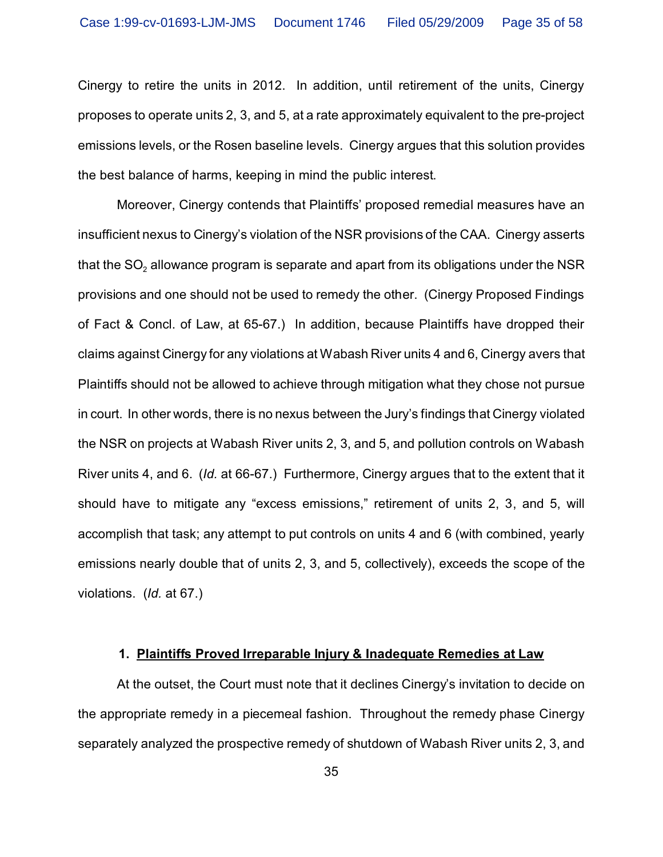Cinergy to retire the units in 2012. In addition, until retirement of the units, Cinergy proposes to operate units 2, 3, and 5, at a rate approximately equivalent to the pre-project emissions levels, or the Rosen baseline levels. Cinergy argues that this solution provides the best balance of harms, keeping in mind the public interest.

Moreover, Cinergy contends that Plaintiffs' proposed remedial measures have an insufficient nexus to Cinergy's violation of the NSR provisions of the CAA. Cinergy asserts that the SO $_{\tiny 2}$  allowance program is separate and apart from its obligations under the NSR provisions and one should not be used to remedy the other. (Cinergy Proposed Findings of Fact & Concl. of Law, at 65-67.) In addition, because Plaintiffs have dropped their claims against Cinergy for any violations at Wabash River units 4 and 6, Cinergy avers that Plaintiffs should not be allowed to achieve through mitigation what they chose not pursue in court. In other words, there is no nexus between the Jury's findings that Cinergy violated the NSR on projects at Wabash River units 2, 3, and 5, and pollution controls on Wabash River units 4, and 6. (*Id.* at 66-67.) Furthermore, Cinergy argues that to the extent that it should have to mitigate any "excess emissions," retirement of units 2, 3, and 5, will accomplish that task; any attempt to put controls on units 4 and 6 (with combined, yearly emissions nearly double that of units 2, 3, and 5, collectively), exceeds the scope of the violations. (*Id.* at 67.)

### **1. Plaintiffs Proved Irreparable Injury & Inadequate Remedies at Law**

At the outset, the Court must note that it declines Cinergy's invitation to decide on the appropriate remedy in a piecemeal fashion. Throughout the remedy phase Cinergy separately analyzed the prospective remedy of shutdown of Wabash River units 2, 3, and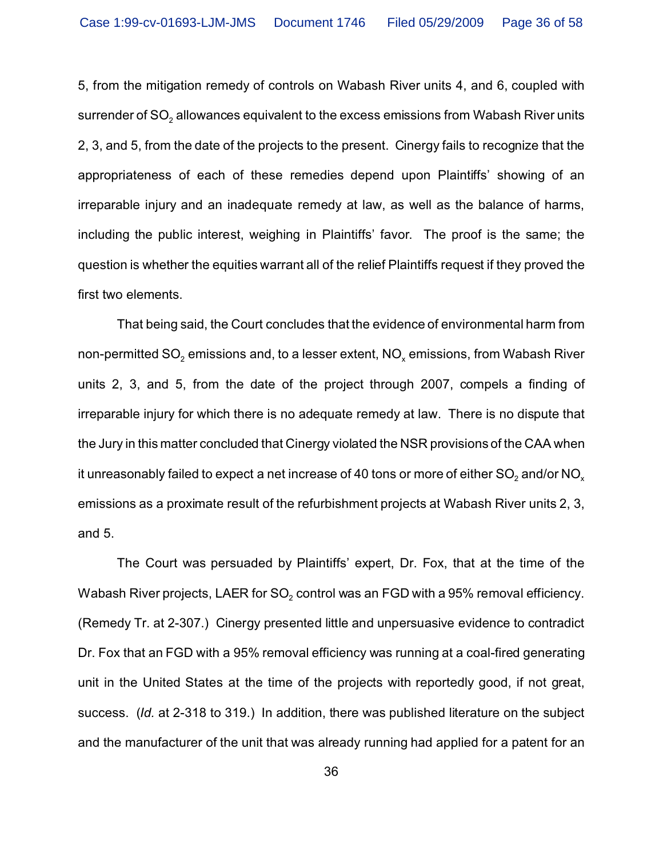5, from the mitigation remedy of controls on Wabash River units 4, and 6, coupled with surrender of SO $_{\tiny 2}$  allowances equivalent to the excess emissions from Wabash River units 2, 3, and 5, from the date of the projects to the present. Cinergy fails to recognize that the appropriateness of each of these remedies depend upon Plaintiffs' showing of an irreparable injury and an inadequate remedy at law, as well as the balance of harms, including the public interest, weighing in Plaintiffs' favor. The proof is the same; the question is whether the equities warrant all of the relief Plaintiffs request if they proved the first two elements.

That being said, the Court concludes that the evidence of environmental harm from non-permitted SO $_2$  emissions and, to a lesser extent, NO $_\mathrm{\star}$  emissions, from Wabash River units 2, 3, and 5, from the date of the project through 2007, compels a finding of irreparable injury for which there is no adequate remedy at law. There is no dispute that the Jury in this matter concluded that Cinergy violated the NSR provisions of the CAA when it unreasonably failed to expect a net increase of 40 tons or more of either SO $_2$  and/or NO $_\mathrm{\mathrm{\mathsf{x}}}$ emissions as a proximate result of the refurbishment projects at Wabash River units 2, 3, and 5.

The Court was persuaded by Plaintiffs' expert, Dr. Fox, that at the time of the Wabash River projects, LAER for SO $_{\rm 2}$  control was an FGD with a 95% removal efficiency. (Remedy Tr. at 2-307.) Cinergy presented little and unpersuasive evidence to contradict Dr. Fox that an FGD with a 95% removal efficiency was running at a coal-fired generating unit in the United States at the time of the projects with reportedly good, if not great, success. (*Id.* at 2-318 to 319.) In addition, there was published literature on the subject and the manufacturer of the unit that was already running had applied for a patent for an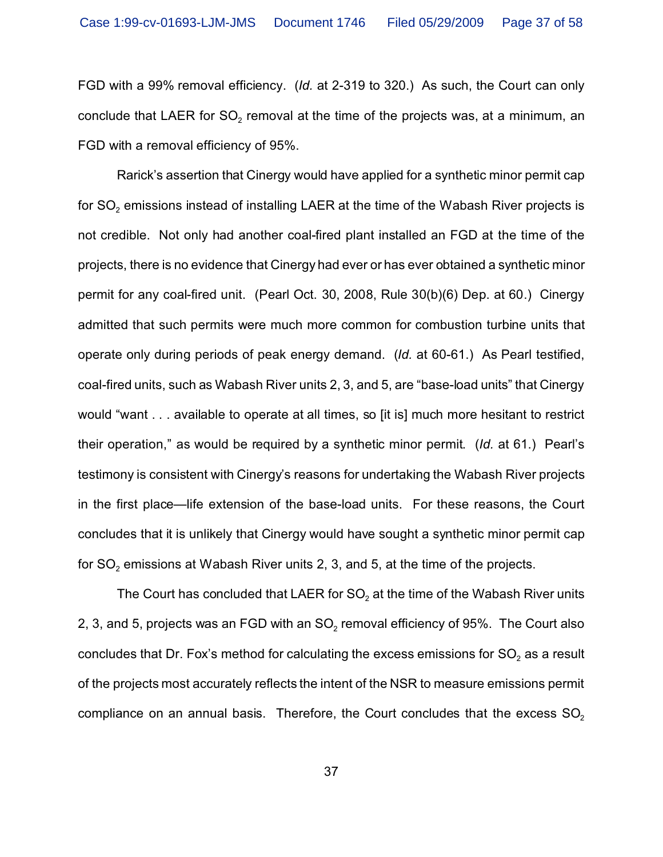FGD with a 99% removal efficiency. (*Id.* at 2-319 to 320.) As such, the Court can only conclude that LAER for SO $_{\rm 2}$  removal at the time of the projects was, at a minimum, an FGD with a removal efficiency of 95%.

Rarick's assertion that Cinergy would have applied for a synthetic minor permit cap for SO $_{\text{2}}$  emissions instead of installing LAER at the time of the Wabash River projects is not credible. Not only had another coal-fired plant installed an FGD at the time of the projects, there is no evidence that Cinergy had ever or has ever obtained a synthetic minor permit for any coal-fired unit. (Pearl Oct. 30, 2008, Rule 30(b)(6) Dep. at 60.) Cinergy admitted that such permits were much more common for combustion turbine units that operate only during periods of peak energy demand. (*Id.* at 60-61.) As Pearl testified, coal-fired units, such as Wabash River units 2, 3, and 5, are "base-load units" that Cinergy would "want . . . available to operate at all times, so [it is] much more hesitant to restrict their operation," as would be required by a synthetic minor permit. (*Id.* at 61.) Pearl's testimony is consistent with Cinergy's reasons for undertaking the Wabash River projects in the first place—life extension of the base-load units. For these reasons, the Court concludes that it is unlikely that Cinergy would have sought a synthetic minor permit cap for SO $_{\rm 2}$  emissions at Wabash River units 2, 3, and 5, at the time of the projects.

The Court has concluded that LAER for SO $_{\rm 2}$  at the time of the Wabash River units 2, 3, and 5, projects was an FGD with an SO $_{\rm 2}$  removal efficiency of 95%. The Court also concludes that Dr. Fox's method for calculating the excess emissions for SO $_{\textrm{\tiny{2}}}$  as a result of the projects most accurately reflects the intent of the NSR to measure emissions permit compliance on an annual basis. Therefore, the Court concludes that the excess  $SO_2$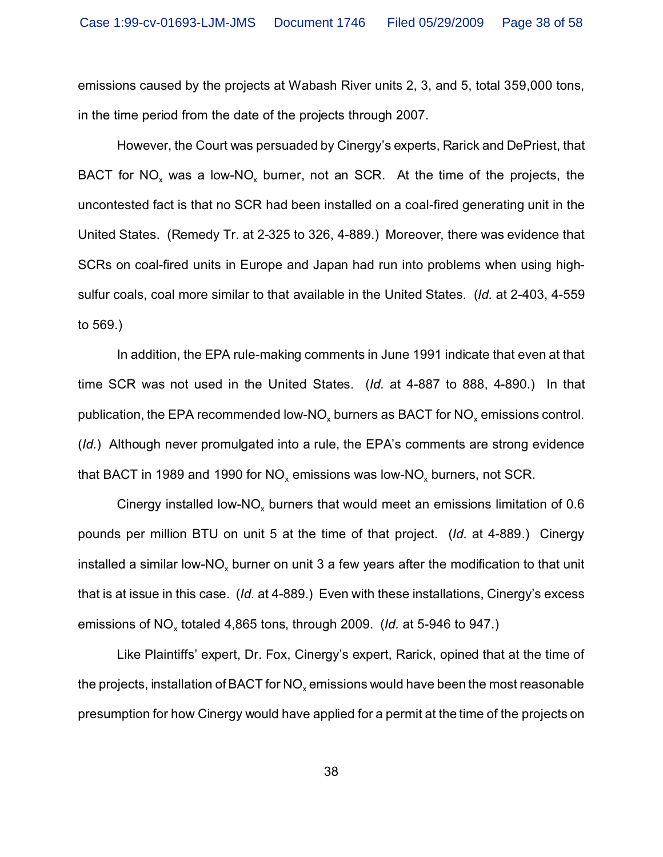emissions caused by the projects at Wabash River units 2, 3, and 5, total 359,000 tons, in the time period from the date of the projects through 2007.

However, the Court was persuaded by Cinergy's experts, Rarick and DePriest, that BACT for NO<sub>x</sub> was a low-NO<sub>x</sub> burner, not an SCR. At the time of the projects, the uncontested fact is that no SCR had been installed on a coal-fired generating unit in the United States. (Remedy Tr. at 2-325 to 326, 4-889.) Moreover, there was evidence that SCRs on coal-fired units in Europe and Japan had run into problems when using highsulfur coals, coal more similar to that available in the United States. (*Id.* at 2-403, 4-559 to 569.)

In addition, the EPA rule-making comments in June 1991 indicate that even at that time SCR was not used in the United States. (*Id.* at 4-887 to 888, 4-890.) In that publication, the EPA recommended low-NO<sub>x</sub> burners as BACT for NO<sub>x</sub> emissions control. (*Id.*) Although never promulgated into a rule, the EPA's comments are strong evidence that BACT in 1989 and 1990 for NO $_{\mathrm{\mathsf{x}}}$  emissions was low-NO $_{\mathrm{\mathsf{x}}}$  burners, not SCR.

Cinergy installed low-NO<sub>x</sub> burners that would meet an emissions limitation of 0.6 pounds per million BTU on unit 5 at the time of that project. (*Id.* at 4-889.) Cinergy installed a similar low-NO<sub>x</sub> burner on unit 3 a few years after the modification to that unit that is at issue in this case. (*Id.* at 4-889.) Even with these installations, Cinergy's excess emissions of NO<sub>x</sub> totaled 4,865 tons, through 2009. (*Id.* at 5-946 to 947.)

Like Plaintiffs' expert, Dr. Fox, Cinergy's expert, Rarick, opined that at the time of the projects, installation of BACT for NO $_{\mathrm{\mathsf{x}}}$  emissions would have been the most reasonable presumption for how Cinergy would have applied for a permit at the time of the projects on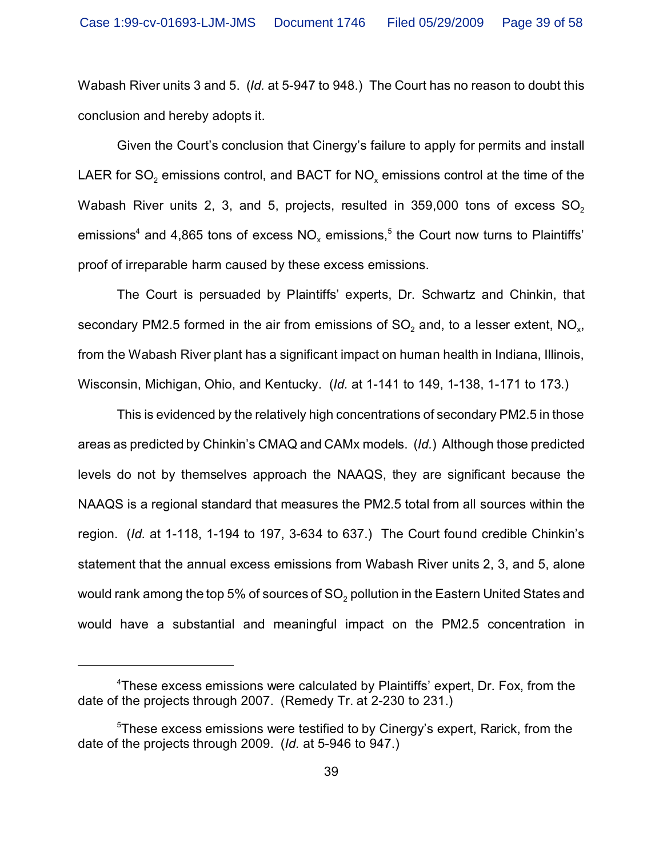Wabash River units 3 and 5. (*Id.* at 5-947 to 948.) The Court has no reason to doubt this conclusion and hereby adopts it.

Given the Court's conclusion that Cinergy's failure to apply for permits and install LAER for SO $_2$  emissions control, and BACT for NO $_\mathrm{\mathsf{x}}$  emissions control at the time of the Wabash River units 2, 3, and 5, projects, resulted in  $359,000$  tons of excess  $SO<sub>2</sub>$ emissions $^4$  and 4,865 tons of excess NO $_\mathrm{\times}$  emissions, $^5$  the Court now turns to Plaintiffs' proof of irreparable harm caused by these excess emissions.

The Court is persuaded by Plaintiffs' experts, Dr. Schwartz and Chinkin, that secondary PM2.5 formed in the air from emissions of SO $_2$  and, to a lesser extent, NO $_{\sf x}$ , from the Wabash River plant has a significant impact on human health in Indiana, Illinois, Wisconsin, Michigan, Ohio, and Kentucky. (*Id.* at 1-141 to 149, 1-138, 1-171 to 173.)

This is evidenced by the relatively high concentrations of secondary PM2.5 in those areas as predicted by Chinkin's CMAQ and CAMx models. (*Id.*) Although those predicted levels do not by themselves approach the NAAQS, they are significant because the NAAQS is a regional standard that measures the PM2.5 total from all sources within the region. (*Id.* at 1-118, 1-194 to 197, 3-634 to 637.) The Court found credible Chinkin's statement that the annual excess emissions from Wabash River units 2, 3, and 5, alone would rank among the top 5% of sources of SO $_{\rm 2}$  pollution in the Eastern United States and would have a substantial and meaningful impact on the PM2.5 concentration in

<sup>&</sup>lt;sup>4</sup>These excess emissions were calculated by Plaintiffs' expert, Dr. Fox, from the date of the projects through 2007. (Remedy Tr. at 2-230 to 231.)

<sup>5</sup>These excess emissions were testified to by Cinergy's expert, Rarick, from the date of the projects through 2009. (*Id.* at 5-946 to 947.)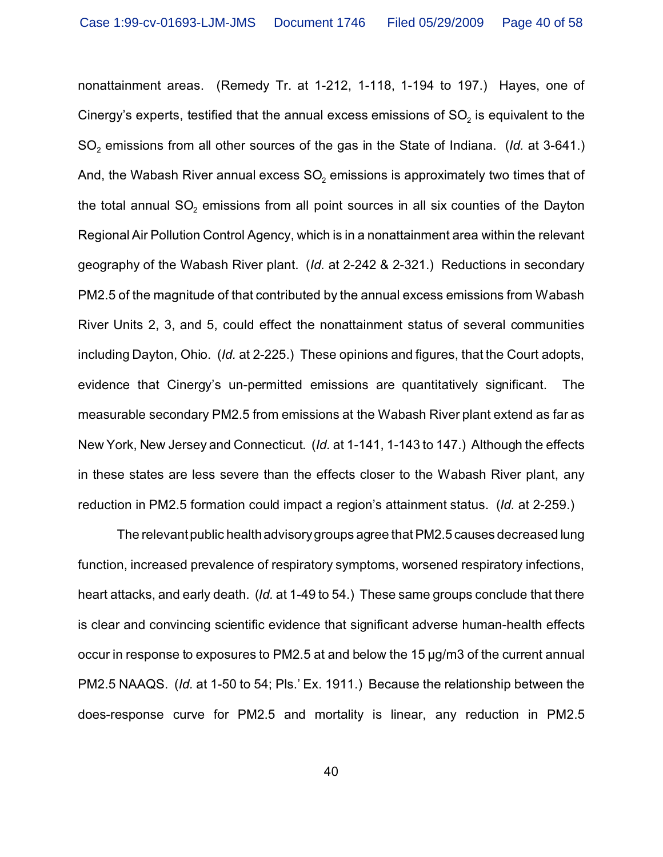nonattainment areas. (Remedy Tr. at 1-212, 1-118, 1-194 to 197.) Hayes, one of Cinergy's experts, testified that the annual excess emissions of SO $_{\textrm{\tiny{2}}}$  is equivalent to the  $\mathsf{SO}_2$  emissions from all other sources of the gas in the State of Indiana.  $(\mathsf{Id.~at~3{\text -}641.})$ And, the Wabash River annual excess SO $_{\rm 2}$  emissions is approximately two times that of the total annual SO $_2$  emissions from all point sources in all six counties of the Dayton Regional Air Pollution Control Agency, which is in a nonattainment area within the relevant geography of the Wabash River plant. (*Id.* at 2-242 & 2-321.) Reductions in secondary PM2.5 of the magnitude of that contributed by the annual excess emissions from Wabash River Units 2, 3, and 5, could effect the nonattainment status of several communities including Dayton, Ohio. (*Id.* at 2-225.) These opinions and figures, that the Court adopts, evidence that Cinergy's un-permitted emissions are quantitatively significant. The measurable secondary PM2.5 from emissions at the Wabash River plant extend as far as New York, New Jersey and Connecticut. (*Id.* at 1-141, 1-143 to 147.) Although the effects in these states are less severe than the effects closer to the Wabash River plant, any reduction in PM2.5 formation could impact a region's attainment status. (*Id.* at 2-259.)

The relevant public health advisory groups agree that PM2.5 causes decreased lung function, increased prevalence of respiratory symptoms, worsened respiratory infections, heart attacks, and early death. (*Id.* at 1-49 to 54.) These same groups conclude that there is clear and convincing scientific evidence that significant adverse human-health effects occur in response to exposures to PM2.5 at and below the 15 µg/m3 of the current annual PM2.5 NAAQS. (*Id.* at 1-50 to 54; Pls.' Ex. 1911.) Because the relationship between the does-response curve for PM2.5 and mortality is linear, any reduction in PM2.5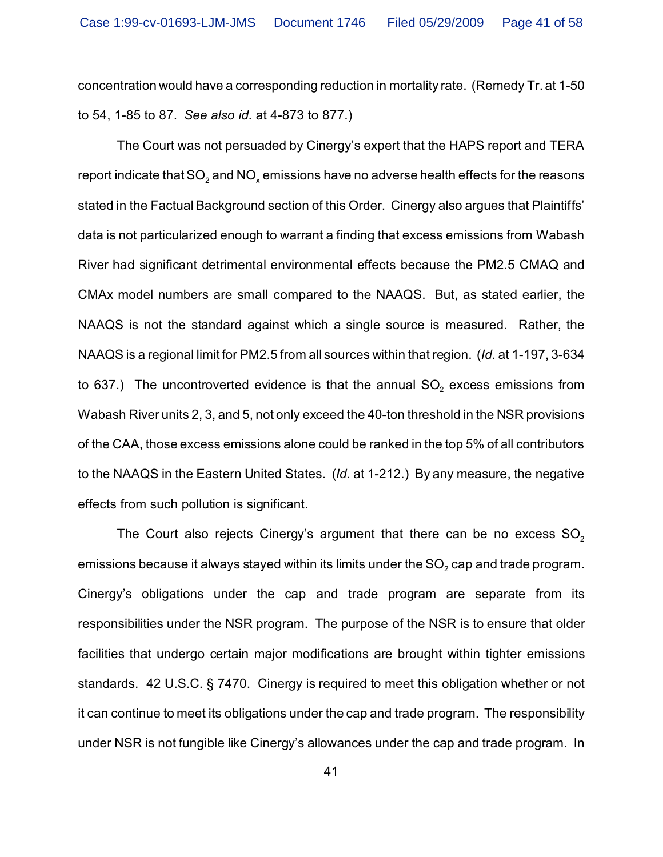concentration would have a corresponding reduction in mortality rate. (Remedy Tr. at 1-50 to 54, 1-85 to 87. *See also id.* at 4-873 to 877.)

The Court was not persuaded by Cinergy's expert that the HAPS report and TERA report indicate that SO $_2$  and NO $_\mathrm{\star}$  emissions have no adverse health effects for the reasons stated in the Factual Background section of this Order. Cinergy also argues that Plaintiffs' data is not particularized enough to warrant a finding that excess emissions from Wabash River had significant detrimental environmental effects because the PM2.5 CMAQ and CMAx model numbers are small compared to the NAAQS. But, as stated earlier, the NAAQS is not the standard against which a single source is measured. Rather, the NAAQS is a regional limit for PM2.5 from all sources within that region. (*Id.* at 1-197, 3-634 to 637.) The uncontroverted evidence is that the annual SO $_{\rm 2}$  excess emissions from Wabash River units 2, 3, and 5, not only exceed the 40-ton threshold in the NSR provisions of the CAA, those excess emissions alone could be ranked in the top 5% of all contributors to the NAAQS in the Eastern United States. (*Id.* at 1-212.) By any measure, the negative effects from such pollution is significant.

The Court also rejects Cinergy's argument that there can be no excess  $SO<sub>2</sub>$ emissions because it always stayed within its limits under the SO $_{\text{2}}$  cap and trade program. Cinergy's obligations under the cap and trade program are separate from its responsibilities under the NSR program. The purpose of the NSR is to ensure that older facilities that undergo certain major modifications are brought within tighter emissions standards. 42 U.S.C. § 7470. Cinergy is required to meet this obligation whether or not it can continue to meet its obligations under the cap and trade program. The responsibility under NSR is not fungible like Cinergy's allowances under the cap and trade program. In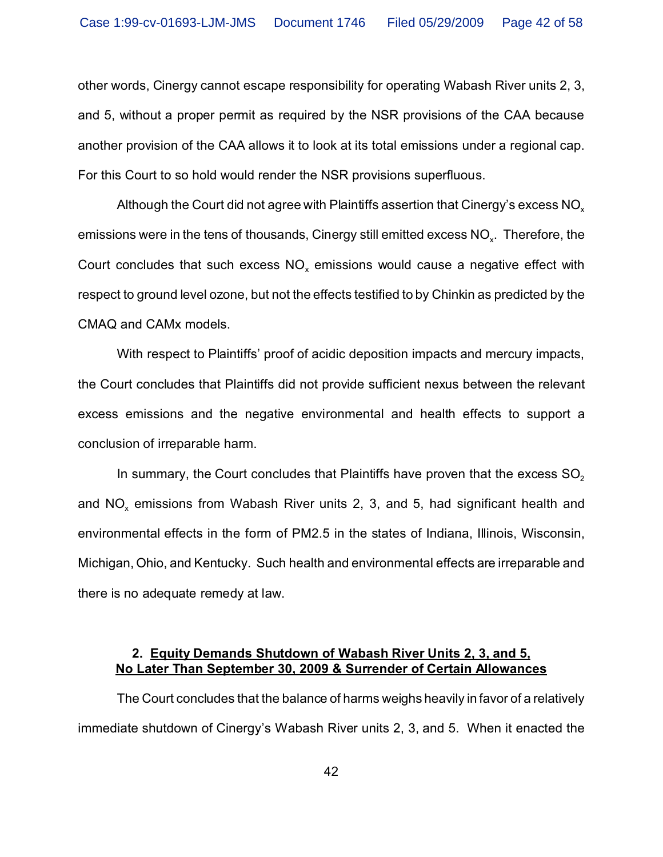other words, Cinergy cannot escape responsibility for operating Wabash River units 2, 3, and 5, without a proper permit as required by the NSR provisions of the CAA because another provision of the CAA allows it to look at its total emissions under a regional cap. For this Court to so hold would render the NSR provisions superfluous.

Although the Court did not agree with Plaintiffs assertion that Cinergy's excess  $NO<sub>x</sub>$ emissions were in the tens of thousands, Cinergy still emitted excess NO $_\mathrm{\mathsf{x}}$ . Therefore, the Court concludes that such excess  $\mathsf{NO}_\mathsf{x}$  emissions would cause a negative effect with respect to ground level ozone, but not the effects testified to by Chinkin as predicted by the CMAQ and CAMx models.

With respect to Plaintiffs' proof of acidic deposition impacts and mercury impacts, the Court concludes that Plaintiffs did not provide sufficient nexus between the relevant excess emissions and the negative environmental and health effects to support a conclusion of irreparable harm.

In summary, the Court concludes that Plaintiffs have proven that the excess  $SO<sub>2</sub>$ and NO<sub>x</sub> emissions from Wabash River units 2, 3, and 5, had significant health and environmental effects in the form of PM2.5 in the states of Indiana, Illinois, Wisconsin, Michigan, Ohio, and Kentucky. Such health and environmental effects are irreparable and there is no adequate remedy at law.

# **2. Equity Demands Shutdown of Wabash River Units 2, 3, and 5, No Later Than September 30, 2009 & Surrender of Certain Allowances**

The Court concludes that the balance of harms weighs heavily in favor of a relatively immediate shutdown of Cinergy's Wabash River units 2, 3, and 5. When it enacted the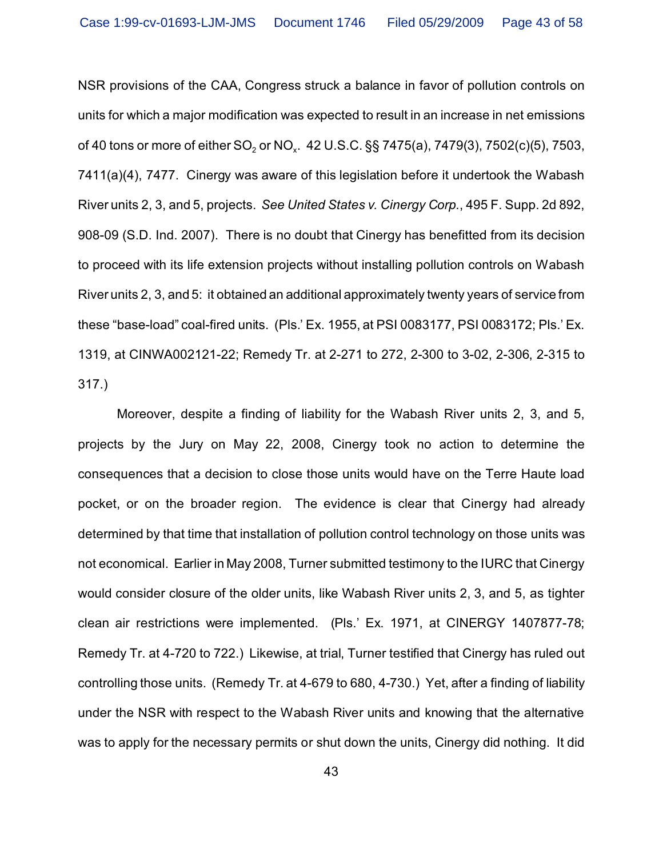NSR provisions of the CAA, Congress struck a balance in favor of pollution controls on units for which a major modification was expected to result in an increase in net emissions of 40 tons or more of either SO<sub>2</sub> or NO<sub>x</sub>. 42 U.S.C. §§ 7475(a), 7479(3), 7502(c)(5), 7503, 7411(a)(4), 7477. Cinergy was aware of this legislation before it undertook the Wabash River units 2, 3, and 5, projects. *See United States v. Cinergy Corp.*, 495 F. Supp. 2d 892, 908-09 (S.D. Ind. 2007). There is no doubt that Cinergy has benefitted from its decision to proceed with its life extension projects without installing pollution controls on Wabash River units 2, 3, and 5: it obtained an additional approximately twenty years of service from these "base-load" coal-fired units. (Pls.' Ex. 1955, at PSI 0083177, PSI 0083172; Pls.' Ex. 1319, at CINWA002121-22; Remedy Tr. at 2-271 to 272, 2-300 to 3-02, 2-306, 2-315 to 317.)

Moreover, despite a finding of liability for the Wabash River units 2, 3, and 5, projects by the Jury on May 22, 2008, Cinergy took no action to determine the consequences that a decision to close those units would have on the Terre Haute load pocket, or on the broader region. The evidence is clear that Cinergy had already determined by that time that installation of pollution control technology on those units was not economical. Earlier in May 2008, Turner submitted testimony to the IURC that Cinergy would consider closure of the older units, like Wabash River units 2, 3, and 5, as tighter clean air restrictions were implemented. (Pls.' Ex. 1971, at CINERGY 1407877-78; Remedy Tr. at 4-720 to 722.) Likewise, at trial, Turner testified that Cinergy has ruled out controlling those units. (Remedy Tr. at 4-679 to 680, 4-730.) Yet, after a finding of liability under the NSR with respect to the Wabash River units and knowing that the alternative was to apply for the necessary permits or shut down the units, Cinergy did nothing. It did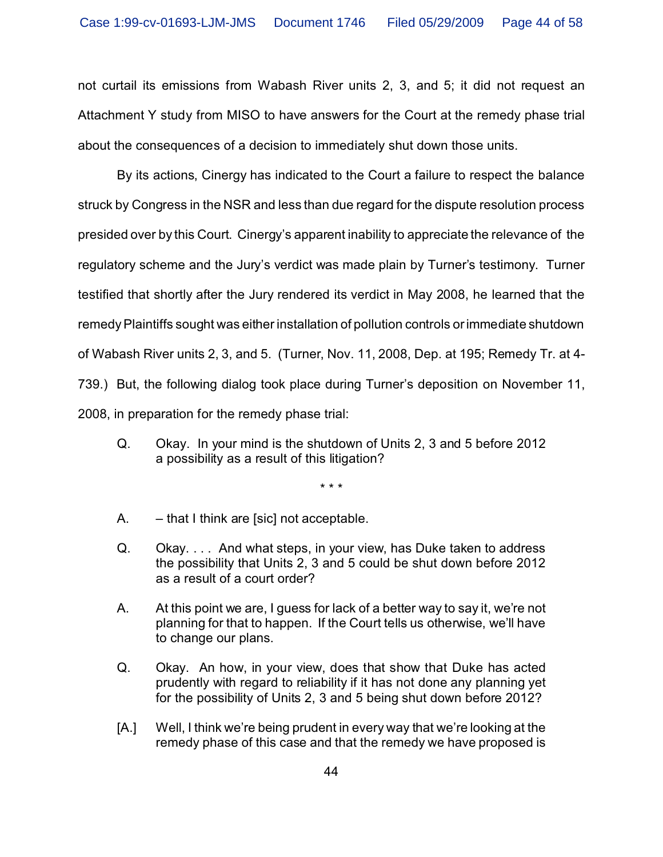not curtail its emissions from Wabash River units 2, 3, and 5; it did not request an Attachment Y study from MISO to have answers for the Court at the remedy phase trial about the consequences of a decision to immediately shut down those units.

By its actions, Cinergy has indicated to the Court a failure to respect the balance struck by Congress in the NSR and less than due regard for the dispute resolution process presided over by this Court. Cinergy's apparent inability to appreciate the relevance of the regulatory scheme and the Jury's verdict was made plain by Turner's testimony. Turner testified that shortly after the Jury rendered its verdict in May 2008, he learned that the remedy Plaintiffs sought was either installation of pollution controls or immediate shutdown of Wabash River units 2, 3, and 5. (Turner, Nov. 11, 2008, Dep. at 195; Remedy Tr. at 4- 739.) But, the following dialog took place during Turner's deposition on November 11, 2008, in preparation for the remedy phase trial:

Q. Okay. In your mind is the shutdown of Units 2, 3 and 5 before 2012 a possibility as a result of this litigation?

\* \* \*

- A. that I think are [sic] not acceptable.
- Q. Okay. . . . And what steps, in your view, has Duke taken to address the possibility that Units 2, 3 and 5 could be shut down before 2012 as a result of a court order?
- A. At this point we are, I guess for lack of a better way to say it, we're not planning for that to happen. If the Court tells us otherwise, we'll have to change our plans.
- Q. Okay. An how, in your view, does that show that Duke has acted prudently with regard to reliability if it has not done any planning yet for the possibility of Units 2, 3 and 5 being shut down before 2012?
- [A.] Well, I think we're being prudent in every way that we're looking at the remedy phase of this case and that the remedy we have proposed is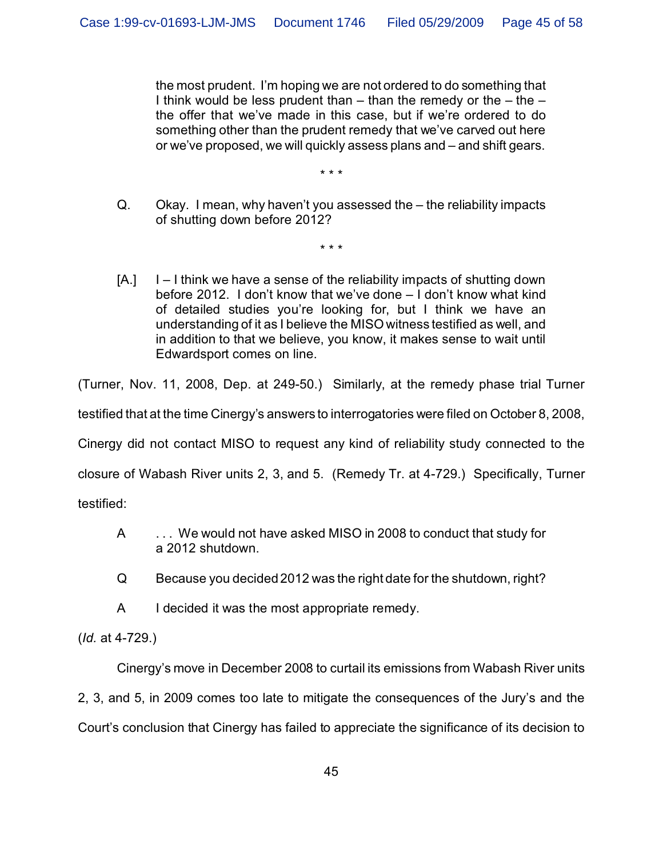the most prudent. I'm hoping we are not ordered to do something that I think would be less prudent than  $-$  than the remedy or the  $-$  the  $$ the offer that we've made in this case, but if we're ordered to do something other than the prudent remedy that we've carved out here or we've proposed, we will quickly assess plans and – and shift gears.

Q. Okay. I mean, why haven't you assessed the – the reliability impacts of shutting down before 2012?

\* \* \*

\* \* \*

[A.] I – I think we have a sense of the reliability impacts of shutting down before 2012. I don't know that we've done – I don't know what kind of detailed studies you're looking for, but I think we have an understanding of it as I believe the MISO witness testified as well, and in addition to that we believe, you know, it makes sense to wait until Edwardsport comes on line.

(Turner, Nov. 11, 2008, Dep. at 249-50.) Similarly, at the remedy phase trial Turner

testified that at the time Cinergy's answers to interrogatories were filed on October 8, 2008,

Cinergy did not contact MISO to request any kind of reliability study connected to the

closure of Wabash River units 2, 3, and 5. (Remedy Tr. at 4-729.) Specifically, Turner

testified:

- A . . . We would not have asked MISO in 2008 to conduct that study for a 2012 shutdown.
- Q Because you decided 2012 was the right date for the shutdown, right?
- A I decided it was the most appropriate remedy.

(*Id.* at 4-729.)

Cinergy's move in December 2008 to curtail its emissions from Wabash River units

2, 3, and 5, in 2009 comes too late to mitigate the consequences of the Jury's and the

Court's conclusion that Cinergy has failed to appreciate the significance of its decision to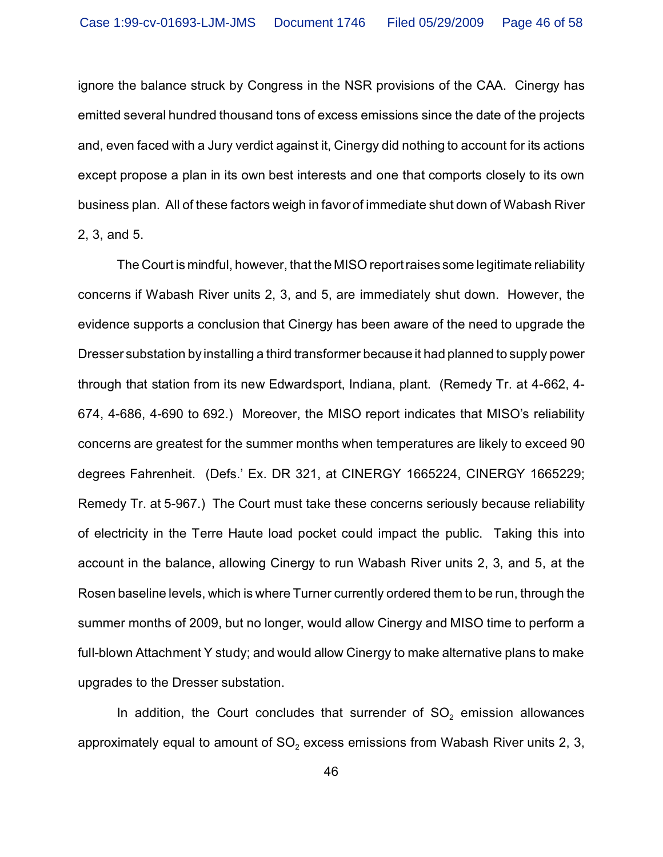ignore the balance struck by Congress in the NSR provisions of the CAA. Cinergy has emitted several hundred thousand tons of excess emissions since the date of the projects and, even faced with a Jury verdict against it, Cinergy did nothing to account for its actions except propose a plan in its own best interests and one that comports closely to its own business plan. All of these factors weigh in favor of immediate shut down of Wabash River 2, 3, and 5.

The Court is mindful, however, that the MISO report raises some legitimate reliability concerns if Wabash River units 2, 3, and 5, are immediately shut down. However, the evidence supports a conclusion that Cinergy has been aware of the need to upgrade the Dresser substation by installing a third transformer because it had planned to supply power through that station from its new Edwardsport, Indiana, plant. (Remedy Tr. at 4-662, 4- 674, 4-686, 4-690 to 692.) Moreover, the MISO report indicates that MISO's reliability concerns are greatest for the summer months when temperatures are likely to exceed 90 degrees Fahrenheit. (Defs.' Ex. DR 321, at CINERGY 1665224, CINERGY 1665229; Remedy Tr. at 5-967.) The Court must take these concerns seriously because reliability of electricity in the Terre Haute load pocket could impact the public. Taking this into account in the balance, allowing Cinergy to run Wabash River units 2, 3, and 5, at the Rosen baseline levels, which is where Turner currently ordered them to be run, through the summer months of 2009, but no longer, would allow Cinergy and MISO time to perform a full-blown Attachment Y study; and would allow Cinergy to make alternative plans to make upgrades to the Dresser substation.

In addition, the Court concludes that surrender of  $SO<sub>2</sub>$  emission allowances approximately equal to amount of SO $_{\text{2}}$  excess emissions from Wabash River units 2, 3,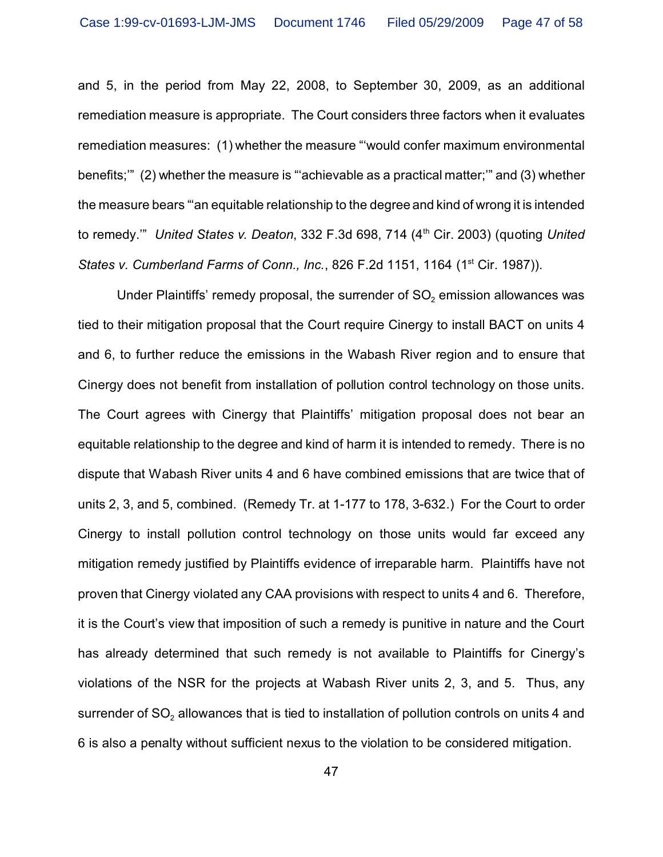and 5, in the period from May 22, 2008, to September 30, 2009, as an additional remediation measure is appropriate. The Court considers three factors when it evaluates remediation measures: (1) whether the measure "'would confer maximum environmental benefits;'" (2) whether the measure is "'achievable as a practical matter;'" and (3) whether the measure bears "'an equitable relationship to the degree and kind of wrong it is intended to remedy.'" *United States v. Deaton*, 332 F.3d 698, 714 (4th Cir. 2003) (quoting *United States v. Cumberland Farms of Conn., Inc.*, 826 F.2d 1151, 1164 (1<sup>st</sup> Cir. 1987)).

Under Plaintiffs' remedy proposal, the surrender of SO $_2$  emission allowances was tied to their mitigation proposal that the Court require Cinergy to install BACT on units 4 and 6, to further reduce the emissions in the Wabash River region and to ensure that Cinergy does not benefit from installation of pollution control technology on those units. The Court agrees with Cinergy that Plaintiffs' mitigation proposal does not bear an equitable relationship to the degree and kind of harm it is intended to remedy. There is no dispute that Wabash River units 4 and 6 have combined emissions that are twice that of units 2, 3, and 5, combined. (Remedy Tr. at 1-177 to 178, 3-632.) For the Court to order Cinergy to install pollution control technology on those units would far exceed any mitigation remedy justified by Plaintiffs evidence of irreparable harm. Plaintiffs have not proven that Cinergy violated any CAA provisions with respect to units 4 and 6. Therefore, it is the Court's view that imposition of such a remedy is punitive in nature and the Court has already determined that such remedy is not available to Plaintiffs for Cinergy's violations of the NSR for the projects at Wabash River units 2, 3, and 5. Thus, any surrender of SO $_{\rm 2}$  allowances that is tied to installation of pollution controls on units 4 and 6 is also a penalty without sufficient nexus to the violation to be considered mitigation.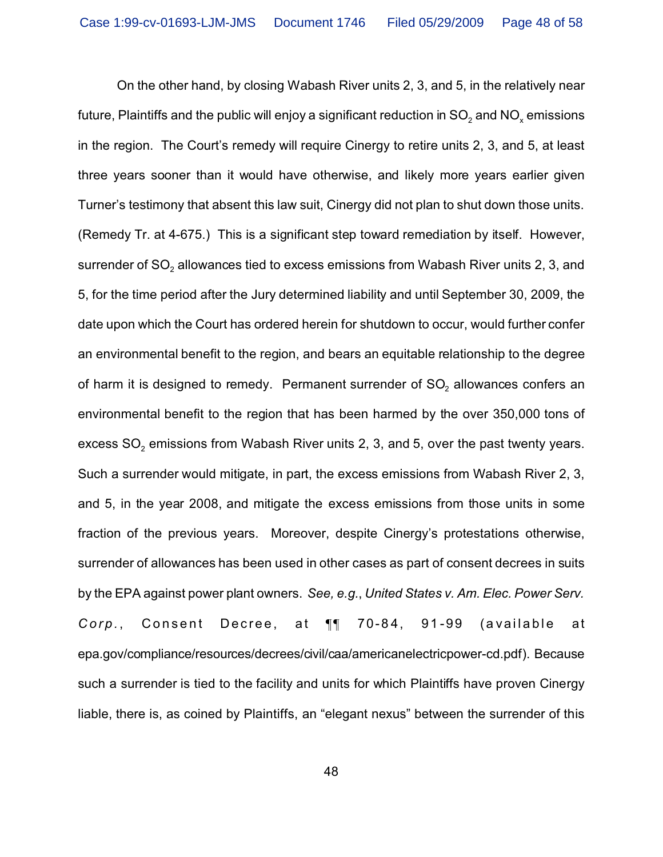On the other hand, by closing Wabash River units 2, 3, and 5, in the relatively near future, Plaintiffs and the public will enjoy a significant reduction in SO $_2$  and NO $_\mathrm{\tiny X}$  emissions in the region. The Court's remedy will require Cinergy to retire units 2, 3, and 5, at least three years sooner than it would have otherwise, and likely more years earlier given Turner's testimony that absent this law suit, Cinergy did not plan to shut down those units. (Remedy Tr. at 4-675.) This is a significant step toward remediation by itself. However, surrender of SO $_{\rm 2}$  allowances tied to excess emissions from Wabash River units 2, 3, and 5, for the time period after the Jury determined liability and until September 30, 2009, the date upon which the Court has ordered herein for shutdown to occur, would further confer an environmental benefit to the region, and bears an equitable relationship to the degree of harm it is designed to remedy. Permanent surrender of SO $_{\text{2}}$  allowances confers an environmental benefit to the region that has been harmed by the over 350,000 tons of excess SO $_{\rm 2}$  emissions from Wabash River units 2, 3, and 5, over the past twenty years. Such a surrender would mitigate, in part, the excess emissions from Wabash River 2, 3, and 5, in the year 2008, and mitigate the excess emissions from those units in some fraction of the previous years. Moreover, despite Cinergy's protestations otherwise, surrender of allowances has been used in other cases as part of consent decrees in suits by the EPA against power plant owners. *See, e.g.*, *United States v. Am. Elec. Power Serv.* Corp., Consent Decree, at 11 70-84, 91-99 (available at epa.gov/compliance/resources/decrees/civil/caa/americanelectricpower-cd.pdf). Because such a surrender is tied to the facility and units for which Plaintiffs have proven Cinergy liable, there is, as coined by Plaintiffs, an "elegant nexus" between the surrender of this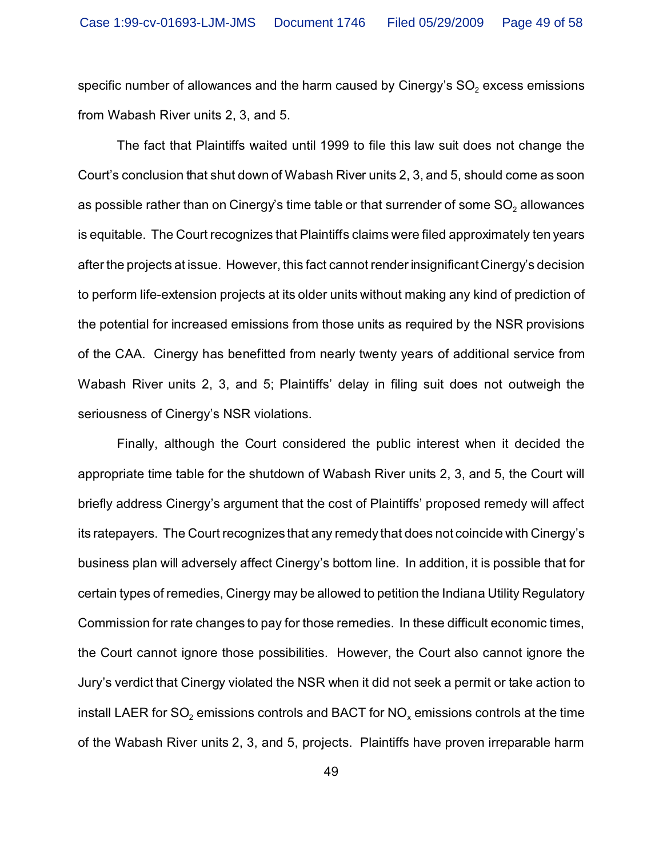specific number of allowances and the harm caused by Cinergy's SO $_{\rm 2}$  excess emissions from Wabash River units 2, 3, and 5.

The fact that Plaintiffs waited until 1999 to file this law suit does not change the Court's conclusion that shut down of Wabash River units 2, 3, and 5, should come as soon as possible rather than on Cinergy's time table or that surrender of some SO $_{\textrm{\tiny{2}}}$  allowances is equitable. The Court recognizes that Plaintiffs claims were filed approximately ten years after the projects at issue. However, this fact cannot render insignificant Cinergy's decision to perform life-extension projects at its older units without making any kind of prediction of the potential for increased emissions from those units as required by the NSR provisions of the CAA. Cinergy has benefitted from nearly twenty years of additional service from Wabash River units 2, 3, and 5; Plaintiffs' delay in filing suit does not outweigh the seriousness of Cinergy's NSR violations.

Finally, although the Court considered the public interest when it decided the appropriate time table for the shutdown of Wabash River units 2, 3, and 5, the Court will briefly address Cinergy's argument that the cost of Plaintiffs' proposed remedy will affect its ratepayers. The Court recognizes that any remedy that does not coincide with Cinergy's business plan will adversely affect Cinergy's bottom line. In addition, it is possible that for certain types of remedies, Cinergy may be allowed to petition the Indiana Utility Regulatory Commission for rate changes to pay for those remedies. In these difficult economic times, the Court cannot ignore those possibilities. However, the Court also cannot ignore the Jury's verdict that Cinergy violated the NSR when it did not seek a permit or take action to install LAER for SO $_2$  emissions controls and BACT for NO $_\mathrm{\mathsf{x}}$  emissions controls at the time of the Wabash River units 2, 3, and 5, projects. Plaintiffs have proven irreparable harm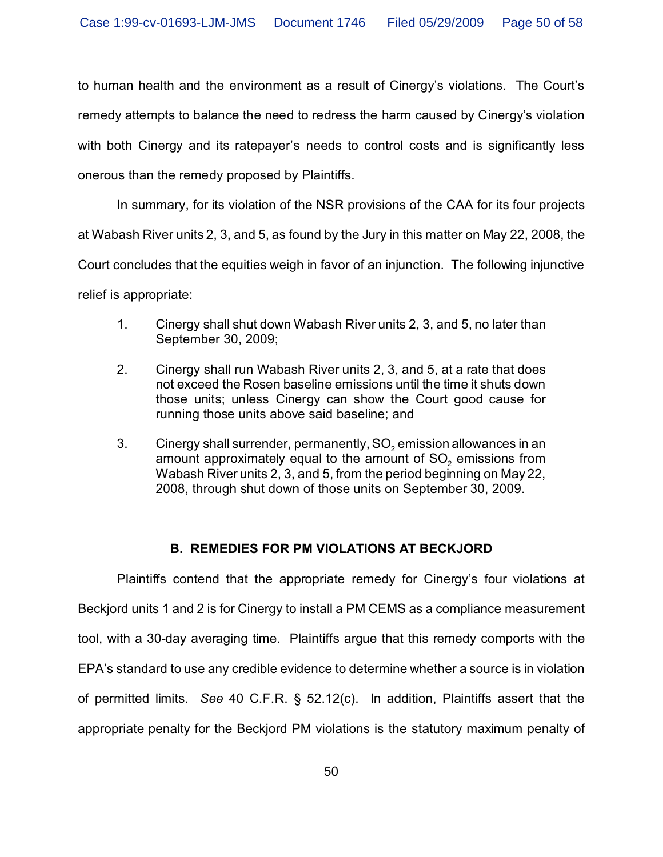to human health and the environment as a result of Cinergy's violations. The Court's remedy attempts to balance the need to redress the harm caused by Cinergy's violation with both Cinergy and its ratepayer's needs to control costs and is significantly less onerous than the remedy proposed by Plaintiffs.

In summary, for its violation of the NSR provisions of the CAA for its four projects

at Wabash River units 2, 3, and 5, as found by the Jury in this matter on May 22, 2008, the

Court concludes that the equities weigh in favor of an injunction. The following injunctive

relief is appropriate:

- 1. Cinergy shall shut down Wabash River units 2, 3, and 5, no later than September 30, 2009;
- 2. Cinergy shall run Wabash River units 2, 3, and 5, at a rate that does not exceed the Rosen baseline emissions until the time it shuts down those units; unless Cinergy can show the Court good cause for running those units above said baseline; and
- 3.  $\hbox{\ \}$  Cinergy shall surrender, permanently, SO $_2$  emission allowances in an amount approximately equal to the amount of SO $_{\rm 2}$  emissions from Wabash River units 2, 3, and 5, from the period beginning on May 22, 2008, through shut down of those units on September 30, 2009.

# **B. REMEDIES FOR PM VIOLATIONS AT BECKJORD**

Plaintiffs contend that the appropriate remedy for Cinergy's four violations at Beckjord units 1 and 2 is for Cinergy to install a PM CEMS as a compliance measurement tool, with a 30-day averaging time. Plaintiffs argue that this remedy comports with the EPA's standard to use any credible evidence to determine whether a source is in violation of permitted limits. *See* 40 C.F.R. § 52.12(c). In addition, Plaintiffs assert that the appropriate penalty for the Beckjord PM violations is the statutory maximum penalty of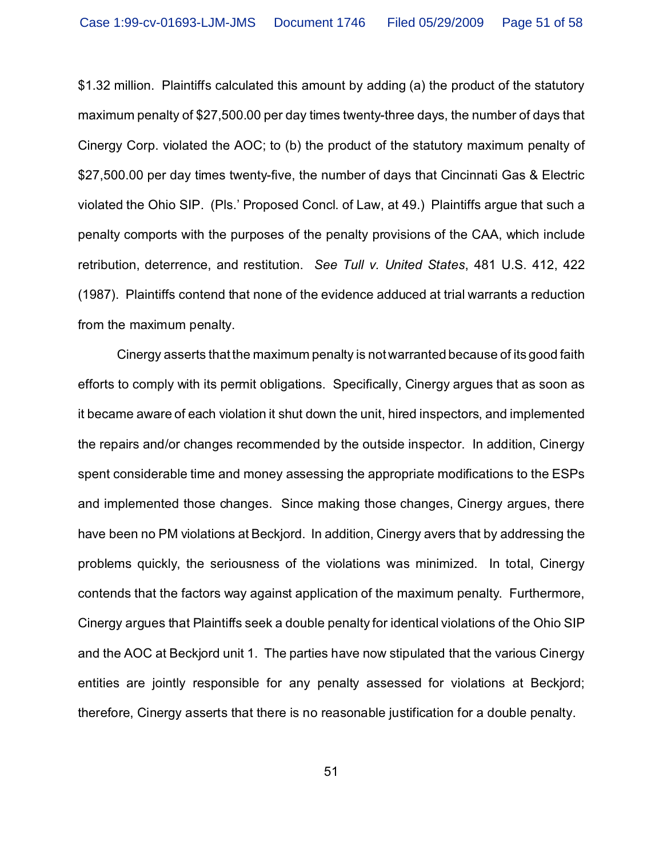\$1.32 million. Plaintiffs calculated this amount by adding (a) the product of the statutory maximum penalty of \$27,500.00 per day times twenty-three days, the number of days that Cinergy Corp. violated the AOC; to (b) the product of the statutory maximum penalty of \$27,500.00 per day times twenty-five, the number of days that Cincinnati Gas & Electric violated the Ohio SIP. (Pls.' Proposed Concl. of Law, at 49.) Plaintiffs argue that such a penalty comports with the purposes of the penalty provisions of the CAA, which include retribution, deterrence, and restitution. *See Tull v. United States*, 481 U.S. 412, 422 (1987). Plaintiffs contend that none of the evidence adduced at trial warrants a reduction from the maximum penalty.

Cinergy asserts that the maximum penalty is not warranted because of its good faith efforts to comply with its permit obligations. Specifically, Cinergy argues that as soon as it became aware of each violation it shut down the unit, hired inspectors, and implemented the repairs and/or changes recommended by the outside inspector. In addition, Cinergy spent considerable time and money assessing the appropriate modifications to the ESPs and implemented those changes. Since making those changes, Cinergy argues, there have been no PM violations at Beckjord. In addition, Cinergy avers that by addressing the problems quickly, the seriousness of the violations was minimized. In total, Cinergy contends that the factors way against application of the maximum penalty. Furthermore, Cinergy argues that Plaintiffs seek a double penalty for identical violations of the Ohio SIP and the AOC at Beckjord unit 1. The parties have now stipulated that the various Cinergy entities are jointly responsible for any penalty assessed for violations at Beckjord; therefore, Cinergy asserts that there is no reasonable justification for a double penalty.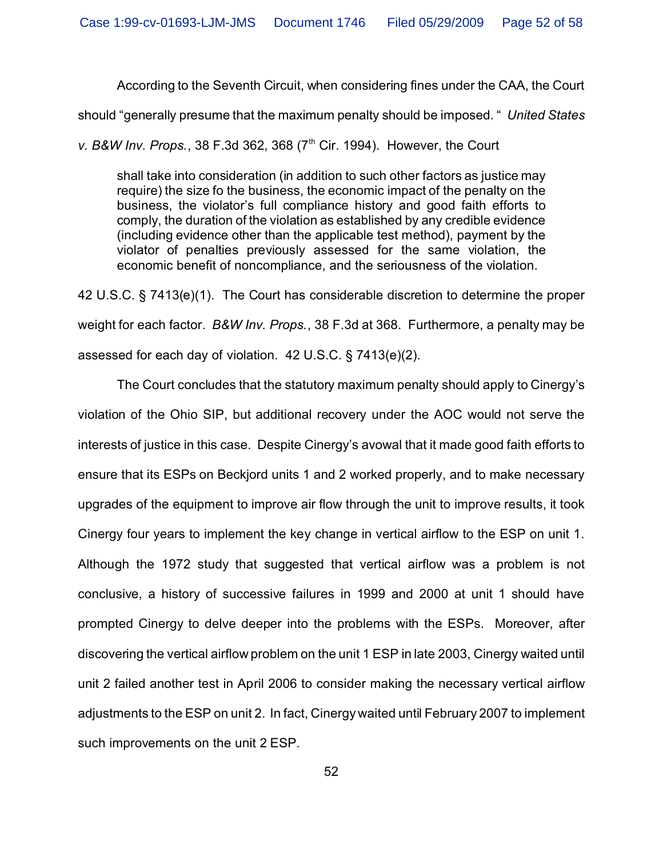According to the Seventh Circuit, when considering fines under the CAA, the Court

should "generally presume that the maximum penalty should be imposed. " *United States*

*v. B&W Inv. Props.*, 38 F.3d 362, 368 (7<sup>th</sup> Cir. 1994). However, the Court

shall take into consideration (in addition to such other factors as justice may require) the size fo the business, the economic impact of the penalty on the business, the violator's full compliance history and good faith efforts to comply, the duration of the violation as established by any credible evidence (including evidence other than the applicable test method), payment by the violator of penalties previously assessed for the same violation, the economic benefit of noncompliance, and the seriousness of the violation.

42 U.S.C. § 7413(e)(1). The Court has considerable discretion to determine the proper weight for each factor. *B&W Inv. Props.*, 38 F.3d at 368. Furthermore, a penalty may be assessed for each day of violation. 42 U.S.C. § 7413(e)(2).

The Court concludes that the statutory maximum penalty should apply to Cinergy's violation of the Ohio SIP, but additional recovery under the AOC would not serve the interests of justice in this case. Despite Cinergy's avowal that it made good faith efforts to ensure that its ESPs on Beckjord units 1 and 2 worked properly, and to make necessary upgrades of the equipment to improve air flow through the unit to improve results, it took Cinergy four years to implement the key change in vertical airflow to the ESP on unit 1. Although the 1972 study that suggested that vertical airflow was a problem is not conclusive, a history of successive failures in 1999 and 2000 at unit 1 should have prompted Cinergy to delve deeper into the problems with the ESPs. Moreover, after discovering the vertical airflow problem on the unit 1 ESP in late 2003, Cinergy waited until unit 2 failed another test in April 2006 to consider making the necessary vertical airflow adjustments to the ESP on unit 2. In fact, Cinergy waited until February 2007 to implement such improvements on the unit 2 ESP.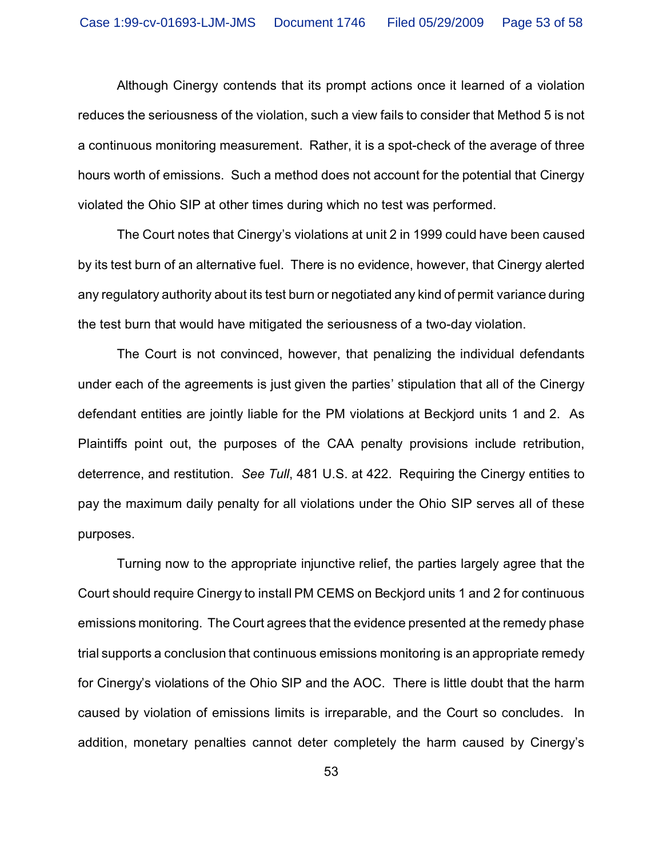Although Cinergy contends that its prompt actions once it learned of a violation reduces the seriousness of the violation, such a view fails to consider that Method 5 is not a continuous monitoring measurement. Rather, it is a spot-check of the average of three hours worth of emissions. Such a method does not account for the potential that Cinergy violated the Ohio SIP at other times during which no test was performed.

The Court notes that Cinergy's violations at unit 2 in 1999 could have been caused by its test burn of an alternative fuel. There is no evidence, however, that Cinergy alerted any regulatory authority about its test burn or negotiated any kind of permit variance during the test burn that would have mitigated the seriousness of a two-day violation.

The Court is not convinced, however, that penalizing the individual defendants under each of the agreements is just given the parties' stipulation that all of the Cinergy defendant entities are jointly liable for the PM violations at Beckjord units 1 and 2. As Plaintiffs point out, the purposes of the CAA penalty provisions include retribution, deterrence, and restitution. *See Tull*, 481 U.S. at 422. Requiring the Cinergy entities to pay the maximum daily penalty for all violations under the Ohio SIP serves all of these purposes.

Turning now to the appropriate injunctive relief, the parties largely agree that the Court should require Cinergy to install PM CEMS on Beckjord units 1 and 2 for continuous emissions monitoring. The Court agrees that the evidence presented at the remedy phase trial supports a conclusion that continuous emissions monitoring is an appropriate remedy for Cinergy's violations of the Ohio SIP and the AOC. There is little doubt that the harm caused by violation of emissions limits is irreparable, and the Court so concludes. In addition, monetary penalties cannot deter completely the harm caused by Cinergy's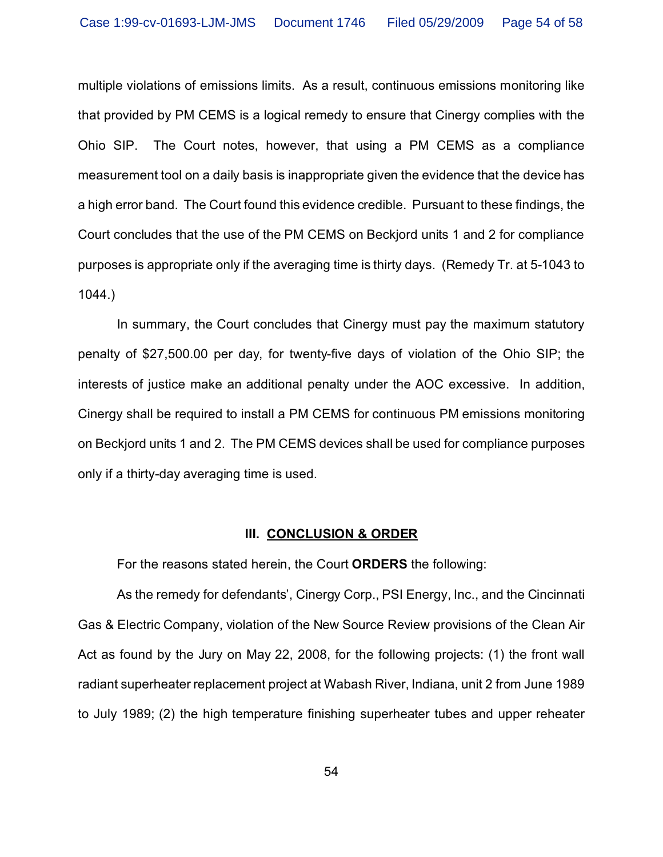multiple violations of emissions limits. As a result, continuous emissions monitoring like that provided by PM CEMS is a logical remedy to ensure that Cinergy complies with the Ohio SIP. The Court notes, however, that using a PM CEMS as a compliance measurement tool on a daily basis is inappropriate given the evidence that the device has a high error band. The Court found this evidence credible. Pursuant to these findings, the Court concludes that the use of the PM CEMS on Beckjord units 1 and 2 for compliance purposes is appropriate only if the averaging time is thirty days. (Remedy Tr. at 5-1043 to 1044.)

In summary, the Court concludes that Cinergy must pay the maximum statutory penalty of \$27,500.00 per day, for twenty-five days of violation of the Ohio SIP; the interests of justice make an additional penalty under the AOC excessive. In addition, Cinergy shall be required to install a PM CEMS for continuous PM emissions monitoring on Beckjord units 1 and 2. The PM CEMS devices shall be used for compliance purposes only if a thirty-day averaging time is used.

#### **III. CONCLUSION & ORDER**

For the reasons stated herein, the Court **ORDERS** the following:

As the remedy for defendants', Cinergy Corp., PSI Energy, Inc., and the Cincinnati Gas & Electric Company, violation of the New Source Review provisions of the Clean Air Act as found by the Jury on May 22, 2008, for the following projects: (1) the front wall radiant superheater replacement project at Wabash River, Indiana, unit 2 from June 1989 to July 1989; (2) the high temperature finishing superheater tubes and upper reheater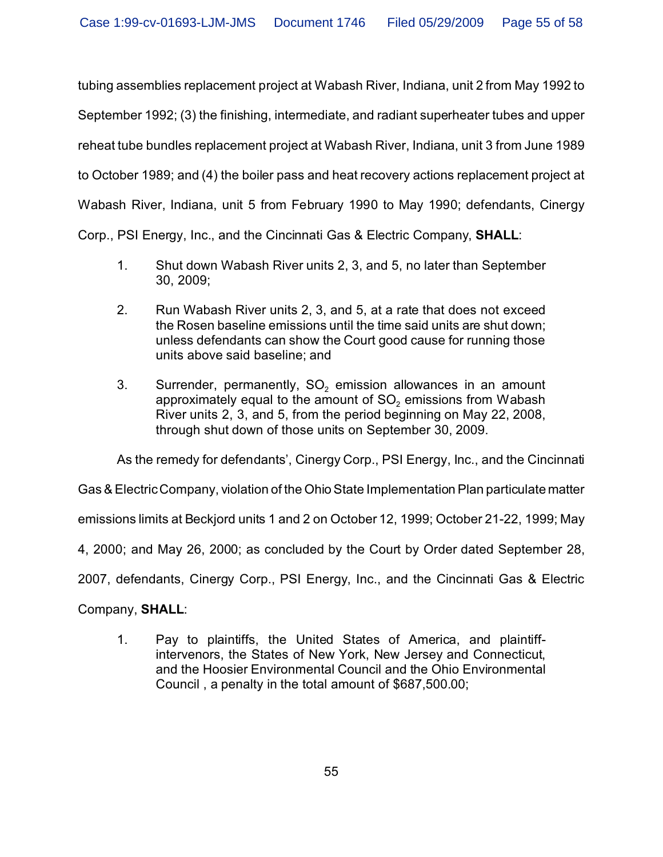tubing assemblies replacement project at Wabash River, Indiana, unit 2 from May 1992 to September 1992; (3) the finishing, intermediate, and radiant superheater tubes and upper reheat tube bundles replacement project at Wabash River, Indiana, unit 3 from June 1989 to October 1989; and (4) the boiler pass and heat recovery actions replacement project at Wabash River, Indiana, unit 5 from February 1990 to May 1990; defendants, Cinergy Corp., PSI Energy, Inc., and the Cincinnati Gas & Electric Company, **SHALL**:

- 1. Shut down Wabash River units 2, 3, and 5, no later than September 30, 2009;
- 2. Run Wabash River units 2, 3, and 5, at a rate that does not exceed the Rosen baseline emissions until the time said units are shut down; unless defendants can show the Court good cause for running those units above said baseline; and
- 3. Surrender, permanently, SO<sub>2</sub> emission allowances in an amount approximately equal to the amount of SO $_{\text{2}}$  emissions from Wabash River units 2, 3, and 5, from the period beginning on May 22, 2008, through shut down of those units on September 30, 2009.

As the remedy for defendants', Cinergy Corp., PSI Energy, Inc., and the Cincinnati

Gas & Electric Company, violation of the Ohio State Implementation Plan particulate matter

emissions limits at Beckjord units 1 and 2 on October 12, 1999; October 21-22, 1999; May

4, 2000; and May 26, 2000; as concluded by the Court by Order dated September 28,

2007, defendants, Cinergy Corp., PSI Energy, Inc., and the Cincinnati Gas & Electric

Company, **SHALL**:

1. Pay to plaintiffs, the United States of America, and plaintiffintervenors, the States of New York, New Jersey and Connecticut, and the Hoosier Environmental Council and the Ohio Environmental Council , a penalty in the total amount of \$687,500.00;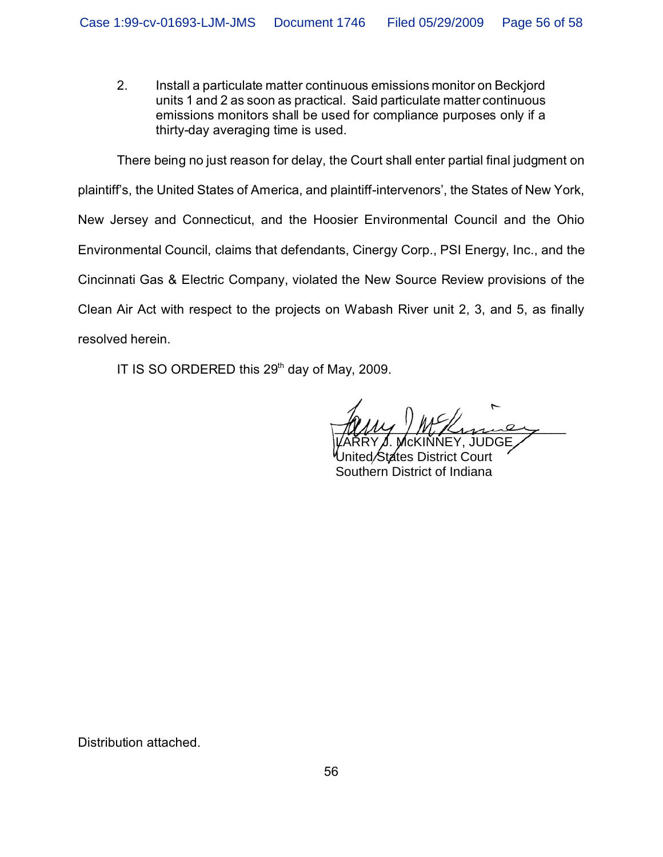2. Install a particulate matter continuous emissions monitor on Beckjord units 1 and 2 as soon as practical. Said particulate matter continuous emissions monitors shall be used for compliance purposes only if a thirty-day averaging time is used.

There being no just reason for delay, the Court shall enter partial final judgment on plaintiff's, the United States of America, and plaintiff-intervenors', the States of New York, New Jersey and Connecticut, and the Hoosier Environmental Council and the Ohio Environmental Council, claims that defendants, Cinergy Corp., PSI Energy, Inc., and the Cincinnati Gas & Electric Company, violated the New Source Review provisions of the Clean Air Act with respect to the projects on Wabash River unit 2, 3, and 5, as finally resolved herein.

IT IS SO ORDERED this  $29<sup>th</sup>$  day of May, 2009.

 $\mathcal{U}\mathcal{W}$  /  $\mathcal{W}\mathcal{U}$  /  $\mathcal{U}\mathcal{U}$  $\sim$ 

 $\mathsf{RRY}\mu$ . McKINNEY, JUDGE $\diagup$ United/States District Court Southern District of Indiana Southern District of Indiana LARRY J. McKINNEY, JUDGE

Distribution attached.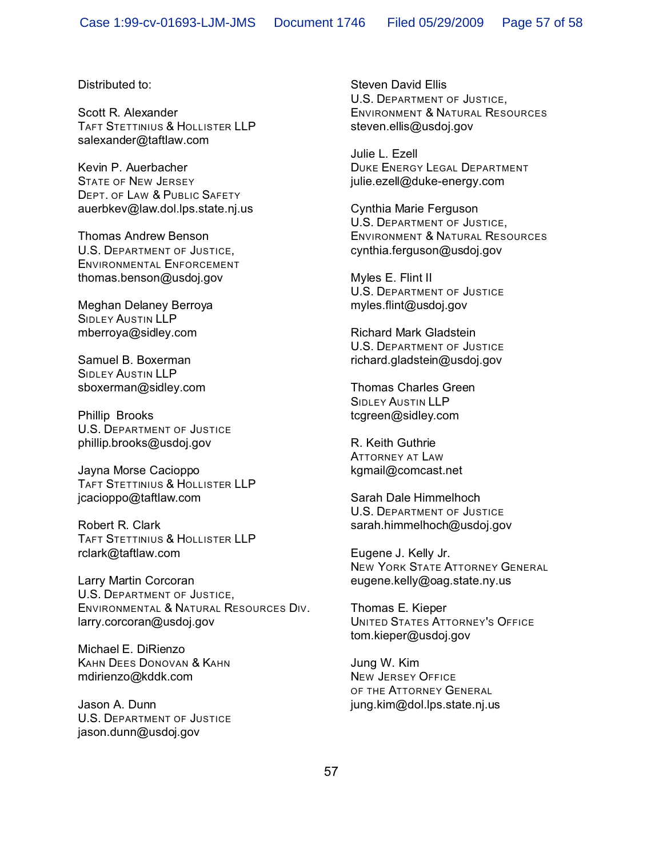Distributed to:

Scott R. Alexander TAFT STETTINIUS & HOLLISTER LLP salexander@taftlaw.com

Kevin P. Auerbacher STATE OF NEW JERSEY DEPT. OF LAW & PUBLIC SAFETY auerbkev@law.dol.lps.state.nj.us

Thomas Andrew Benson U.S. DEPARTMENT OF JUSTICE, ENVIRONMENTAL ENFORCEMENT thomas.benson@usdoj.gov

Meghan Delaney Berroya SIDLEY AUSTIN LLP mberroya@sidley.com

Samuel B. Boxerman SIDLEY AUSTIN LLP sboxerman@sidley.com

Phillip Brooks U.S. DEPARTMENT OF JUSTICE phillip.brooks@usdoj.gov

Jayna Morse Cacioppo TAFT STETTINIUS & HOLLISTER LLP jcacioppo@taftlaw.com

Robert R. Clark TAFT STETTINIUS & HOLLISTER LLP rclark@taftlaw.com

Larry Martin Corcoran U.S. DEPARTMENT OF JUSTICE, ENVIRONMENTAL & NATURAL RESOURCES DIV. larry.corcoran@usdoj.gov

Michael E. DiRienzo KAHN DEES DONOVAN & KAHN mdirienzo@kddk.com

Jason A. Dunn U.S. DEPARTMENT OF JUSTICE jason.dunn@usdoj.gov

Steven David Ellis U.S. DEPARTMENT OF JUSTICE, ENVIRONMENT & NATURAL RESOURCES steven.ellis@usdoj.gov

Julie L. Ezell DUKE ENERGY LEGAL DEPARTMENT julie.ezell@duke-energy.com

Cynthia Marie Ferguson U.S. DEPARTMENT OF JUSTICE, ENVIRONMENT & NATURAL RESOURCES cynthia.ferguson@usdoj.gov

Myles E. Flint II U.S. DEPARTMENT OF JUSTICE myles.flint@usdoj.gov

Richard Mark Gladstein U.S. DEPARTMENT OF JUSTICE richard.gladstein@usdoj.gov

Thomas Charles Green SIDLEY AUSTIN LLP tcgreen@sidley.com

R. Keith Guthrie ATTORNEY AT LAW kgmail@comcast.net

Sarah Dale Himmelhoch U.S. DEPARTMENT OF JUSTICE sarah.himmelhoch@usdoj.gov

Eugene J. Kelly Jr. NEW YORK STATE ATTORNEY GENERAL eugene.kelly@oag.state.ny.us

Thomas E. Kieper UNITED STATES ATTORNEY'S OFFICE tom.kieper@usdoj.gov

Jung W. Kim NEW JERSEY OFFICE OF THE ATTORNEY GENERAL jung.kim@dol.lps.state.nj.us